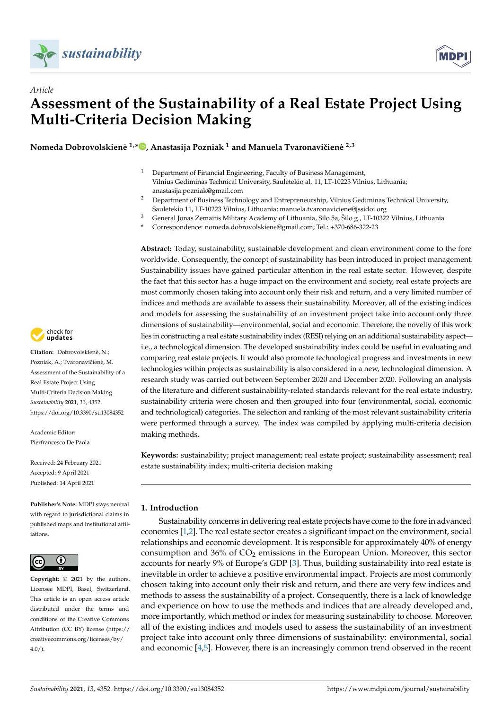

*Article*



# **Assessment of the Sustainability of a Real Estate Project Using Multi-Criteria Decision Making**

**Nomeda Dobrovolskiene˙ 1,\* [,](https://orcid.org/0000-0002-1606-9980) Anastasija Pozniak <sup>1</sup> and Manuela Tvaronaviˇciene˙ 2,3**

- <sup>1</sup> Department of Financial Engineering, Faculty of Business Management, Vilnius Gediminas Technical University, Sauletekio al. 11, LT-10223 Vilnius, Lithuania; ˙ anastasija.pozniak@gmail.com
- <sup>2</sup> Department of Business Technology and Entrepreneurship, Vilnius Gediminas Technical University, Sauletekio 11, LT-10223 Vilnius, Lithuania; manuela.tvaronaviciene@jssidoi.org
- <sup>3</sup> General Jonas Zemaitis Military Academy of Lithuania, Silo 5a, Šilo g., LT-10322 Vilnius, Lithuania
- **\*** Correspondence: nomeda.dobrovolskiene@gmail.com; Tel.: +370-686-322-23

**Abstract:** Today, sustainability, sustainable development and clean environment come to the fore worldwide. Consequently, the concept of sustainability has been introduced in project management. Sustainability issues have gained particular attention in the real estate sector. However, despite the fact that this sector has a huge impact on the environment and society, real estate projects are most commonly chosen taking into account only their risk and return, and a very limited number of indices and methods are available to assess their sustainability. Moreover, all of the existing indices and models for assessing the sustainability of an investment project take into account only three dimensions of sustainability—environmental, social and economic. Therefore, the novelty of this work lies in constructing a real estate sustainability index (RESI) relying on an additional sustainability aspect i.e., a technological dimension. The developed sustainability index could be useful in evaluating and comparing real estate projects. It would also promote technological progress and investments in new technologies within projects as sustainability is also considered in a new, technological dimension. A research study was carried out between September 2020 and December 2020. Following an analysis of the literature and different sustainability-related standards relevant for the real estate industry, sustainability criteria were chosen and then grouped into four (environmental, social, economic and technological) categories. The selection and ranking of the most relevant sustainability criteria were performed through a survey. The index was compiled by applying multi-criteria decision making methods.

**Keywords:** sustainability; project management; real estate project; sustainability assessment; real estate sustainability index; multi-criteria decision making

## **1. Introduction**

Sustainability concerns in delivering real estate projects have come to the fore in advanced economies [\[1,](#page-14-0)[2\]](#page-14-1). The real estate sector creates a significant impact on the environment, social relationships and economic development. It is responsible for approximately 40% of energy consumption and  $36\%$  of  $CO<sub>2</sub>$  emissions in the European Union. Moreover, this sector accounts for nearly 9% of Europe's GDP [\[3\]](#page-14-2). Thus, building sustainability into real estate is inevitable in order to achieve a positive environmental impact. Projects are most commonly chosen taking into account only their risk and return, and there are very few indices and methods to assess the sustainability of a project. Consequently, there is a lack of knowledge and experience on how to use the methods and indices that are already developed and, more importantly, which method or index for measuring sustainability to choose. Moreover, all of the existing indices and models used to assess the sustainability of an investment project take into account only three dimensions of sustainability: environmental, social and economic [\[4](#page-14-3)[,5\]](#page-14-4). However, there is an increasingly common trend observed in the recent



**Citation:** Dobrovolskiene, N.; ˙ Pozniak, A.; Tvaronavičienė, M. Assessment of the Sustainability of a Real Estate Project Using Multi-Criteria Decision Making. *Sustainability* **2021**, *13*, 4352. <https://doi.org/10.3390/su13084352>

Academic Editor: Pierfrancesco De Paola

Received: 24 February 2021 Accepted: 9 April 2021 Published: 14 April 2021

**Publisher's Note:** MDPI stays neutral with regard to jurisdictional claims in published maps and institutional affiliations.



**Copyright:** © 2021 by the authors. Licensee MDPI, Basel, Switzerland. This article is an open access article distributed under the terms and conditions of the Creative Commons Attribution (CC BY) license (https:/[/](https://creativecommons.org/licenses/by/4.0/) [creativecommons.org/licenses/by/](https://creativecommons.org/licenses/by/4.0/)  $4.0/$ ).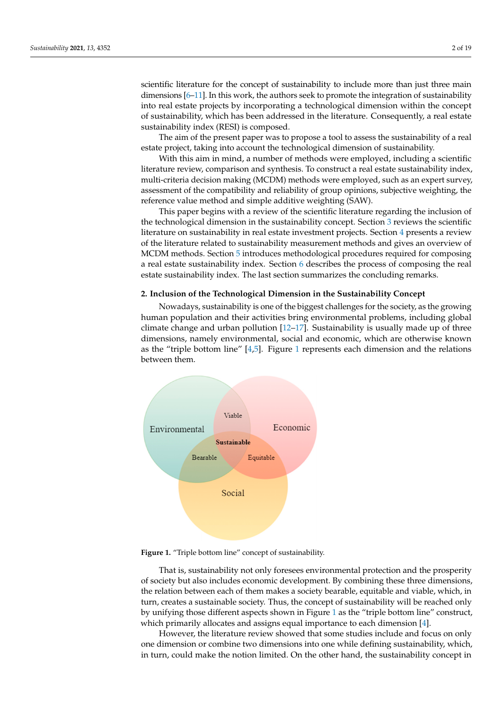scientific literature for the concept of sustainability to include more than just three main scientific interactive for the concept of sustainability to include inote than just three main dimensions [\[6–](#page-14-5)[11\]](#page-14-6). In this work, the authors seek to promote the integration of sustainability into real estate projects by incorporating a technological dimension within the concept Into iten is all projects by incorporating a technological dimension within the concept of sustainability, which has been addressed in the literature. Consequently, a real estate sustainability index (RESI) is composed.  $t_{\text{min}}$  for  $t_{\text{min}}$  into real equations section promote the integration of sustainability sequently, when has been addressed in the includity. So

The aim of the present paper was to propose a tool to assess the sustainability of a real The aim of the present paper was to propose a tool to assess the sustainability of a real estate project, taking into account the technological dimension of sustainability.

With this aim in mind, a number of methods were employed, including a scientific With this aim in mind, a number of methods were employed, including a scientific literature review, comparison and synthesis. To construct a real estate sustainability index, multi-criteria decision making (MCDM) methods were employed, such as an expert survey, assessment of the compatibility and reliability of group opinions, subjective weighting, the reference value method and simple additive weighting (SAW).

This paper begins with a review of the scientific literature regarding the inclusion of This paper begins with a review of the scientific literature regarding the inclusion of the technological dimension in the sustainability concept. Section [3](#page-5-0) reviews the scientific the technological dimension in the sustainability concept. Section 3 reviews the scientific literature on sustainability in real estate investment projects. Section [4](#page-6-0) presents a review literature on sustainability in real estate investment projects. Section 4 presents a review of the literature related to sustainability measurement methods and gives an overview of of the literature related to sustainability measurement methods and gives an overview of MCDM methods. Sectio[n 5](#page-8-0) introduces methodological procedures required for composing a real estate sustainability index. Secti[on](#page-10-0) 6 describes the process of composing the real estate sustainability index. The last section summarizes the concluding remarks. estate sustainability index. The last section summarizes the concluding remarks.

## **2. Inclusion of the Technological Dimension in the Sustainability Concept 2. Inclusion of the Technological Dimension in the Sustainability Concept**

Nowadays, sustainability is one of the biggest challenges for the society, as the growing human population and their activities bring environmental problems, including global climate change and urban pollution [\[12](#page-14-7)[–17\]](#page-15-0). Sustainability is usually made up of three dimensions, namely environmental, social and economic, which are otherwise known as the "triple bottom line"  $[4,5]$  $[4,5]$ . [Fig](#page-1-0)ure 1 represents each dimension and the relations between them.

<span id="page-1-0"></span>

**Figure 1.** "Triple bottom line" concept of sustainability. **Figure 1.** "Triple bottom line" concept of sustainability.

That is, sustainability not only foresees environmental protection and the prosperity That is, sustainability not only foresees environmental protection and the prosperity of society but also includes economic development. By combining these three dimensions, of society but also includes economic development. By combining these three dimensions, the relation between each of them makes a society bearable, equitable and viable, which, the relation between each of them makes a society bearable, equitable and viable, which, in turn, creates a sustainable society. Thus, the concept of sustainability will be reached only by unifying those different aspects shown in [Fig](#page-1-0)ure 1 as the "triple bottom line" construct, which primarily allocates and assigns equal importance to each dimension [\[4\]](#page-14-3).

However, the literature review showed that some studies include and focus on only However, the literature review showed that some studies include and focus on only one dimension or combine two dimensions into one while defining sustainability, which, in turn, could make the notion limited. On the other hand, the sustainability concept in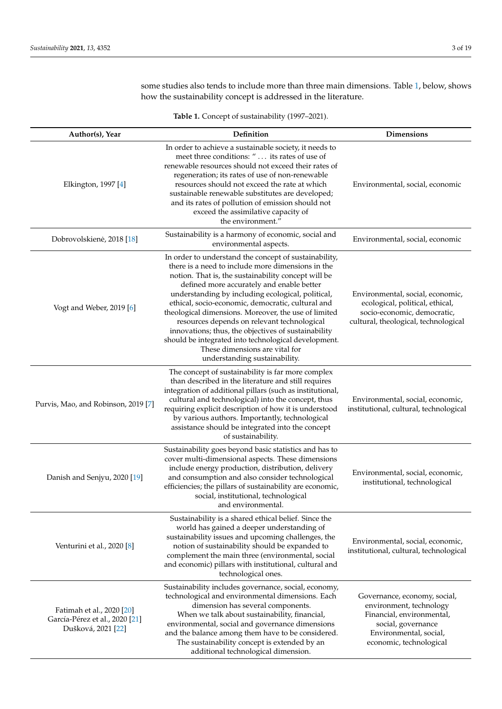some studies also tends to include more than three main dimensions. Table [1,](#page-2-0) below, shows how the sustainability concept is addressed in the literature.

<span id="page-2-0"></span>

|                                                                                   | <b>Havit 1.</b> Concept of sustainability (1777 2021).                                                                                                                                                                                                                                                                                                                                                                                                                                                                                                                                                            |                                                                                                                                            |
|-----------------------------------------------------------------------------------|-------------------------------------------------------------------------------------------------------------------------------------------------------------------------------------------------------------------------------------------------------------------------------------------------------------------------------------------------------------------------------------------------------------------------------------------------------------------------------------------------------------------------------------------------------------------------------------------------------------------|--------------------------------------------------------------------------------------------------------------------------------------------|
| Author(s), Year                                                                   | Definition                                                                                                                                                                                                                                                                                                                                                                                                                                                                                                                                                                                                        | <b>Dimensions</b>                                                                                                                          |
| Elkington, 1997 [4]                                                               | In order to achieve a sustainable society, it needs to<br>meet three conditions: " its rates of use of<br>renewable resources should not exceed their rates of<br>regeneration; its rates of use of non-renewable<br>resources should not exceed the rate at which<br>sustainable renewable substitutes are developed;<br>and its rates of pollution of emission should not<br>exceed the assimilative capacity of<br>the environment."                                                                                                                                                                           | Environmental, social, economic                                                                                                            |
| Dobrovolskienė, 2018 [18]                                                         | Sustainability is a harmony of economic, social and<br>environmental aspects.                                                                                                                                                                                                                                                                                                                                                                                                                                                                                                                                     | Environmental, social, economic                                                                                                            |
| Vogt and Weber, 2019 [6]                                                          | In order to understand the concept of sustainability,<br>there is a need to include more dimensions in the<br>notion. That is, the sustainability concept will be<br>defined more accurately and enable better<br>understanding by including ecological, political,<br>ethical, socio-economic, democratic, cultural and<br>theological dimensions. Moreover, the use of limited<br>resources depends on relevant technological<br>innovations; thus, the objectives of sustainability<br>should be integrated into technological development.<br>These dimensions are vital for<br>understanding sustainability. | Environmental, social, economic,<br>ecological, political, ethical,<br>socio-economic, democratic,<br>cultural, theological, technological |
| Purvis, Mao, and Robinson, 2019 [7]                                               | The concept of sustainability is far more complex<br>than described in the literature and still requires<br>integration of additional pillars (such as institutional,<br>cultural and technological) into the concept, thus<br>requiring explicit description of how it is understood<br>by various authors. Importantly, technological<br>assistance should be integrated into the concept<br>of sustainability.                                                                                                                                                                                                 | Environmental, social, economic,<br>institutional, cultural, technological                                                                 |
| Danish and Senjyu, 2020 [19]                                                      | Sustainability goes beyond basic statistics and has to<br>cover multi-dimensional aspects. These dimensions<br>include energy production, distribution, delivery<br>and consumption and also consider technological<br>efficiencies; the pillars of sustainability are economic,<br>social, institutional, technological<br>and environmental.                                                                                                                                                                                                                                                                    | Environmental, social, economic,<br>institutional, technological                                                                           |
| Venturini et al., 2020 [8]                                                        | Sustainability is a shared ethical belief. Since the<br>world has gained a deeper understanding of<br>sustainability issues and upcoming challenges, the<br>notion of sustainability should be expanded to<br>complement the main three (environmental, social<br>and economic) pillars with institutional, cultural and<br>technological ones.                                                                                                                                                                                                                                                                   | Environmental, social, economic,<br>institutional, cultural, technological                                                                 |
| Fatimah et al., 2020 [20]<br>García-Pérez et al., 2020 [21]<br>Dušková, 2021 [22] | Sustainability includes governance, social, economy,<br>technological and environmental dimensions. Each<br>dimension has several components.<br>When we talk about sustainability, financial,<br>environmental, social and governance dimensions<br>and the balance among them have to be considered.                                                                                                                                                                                                                                                                                                            | Governance, economy, social,<br>environment, technology<br>Financial, environmental,<br>social, governance<br>Environmental, social,       |

The sustainability concept is extended by an additional technological dimension.

economic, technological

**Table 1.** Concept of sustainability (1997–2021).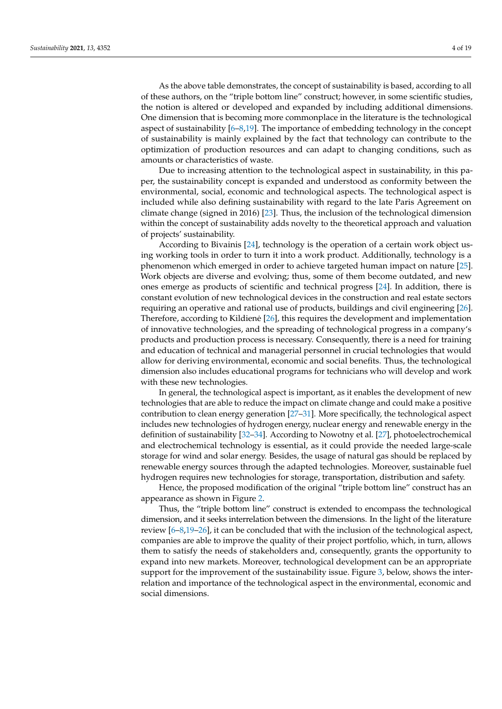As the above table demonstrates, the concept of sustainability is based, according to all of these authors, on the "triple bottom line" construct; however, in some scientific studies, the notion is altered or developed and expanded by including additional dimensions. One dimension that is becoming more commonplace in the literature is the technological aspect of sustainability [\[6–](#page-14-5)[8](#page-14-9)[,19\]](#page-15-2). The importance of embedding technology in the concept of sustainability is mainly explained by the fact that technology can contribute to the optimization of production resources and can adapt to changing conditions, such as amounts or characteristics of waste.

Due to increasing attention to the technological aspect in sustainability, in this paper, the sustainability concept is expanded and understood as conformity between the environmental, social, economic and technological aspects. The technological aspect is included while also defining sustainability with regard to the late Paris Agreement on climate change (signed in 2016) [\[23\]](#page-15-6). Thus, the inclusion of the technological dimension within the concept of sustainability adds novelty to the theoretical approach and valuation of projects' sustainability.

According to Bivainis [\[24\]](#page-15-7), technology is the operation of a certain work object using working tools in order to turn it into a work product. Additionally, technology is a phenomenon which emerged in order to achieve targeted human impact on nature [\[25\]](#page-15-8). Work objects are diverse and evolving; thus, some of them become outdated, and new ones emerge as products of scientific and technical progress [\[24\]](#page-15-7). In addition, there is constant evolution of new technological devices in the construction and real estate sectors requiring an operative and rational use of products, buildings and civil engineering [\[26\]](#page-15-9). Therefore, according to Kildiene [[26\]](#page-15-9), this requires the development and implementation of innovative technologies, and the spreading of technological progress in a company's products and production process is necessary. Consequently, there is a need for training and education of technical and managerial personnel in crucial technologies that would allow for deriving environmental, economic and social benefits. Thus, the technological dimension also includes educational programs for technicians who will develop and work with these new technologies.

In general, the technological aspect is important, as it enables the development of new technologies that are able to reduce the impact on climate change and could make a positive contribution to clean energy generation [\[27](#page-15-10)[–31\]](#page-15-11). More specifically, the technological aspect includes new technologies of hydrogen energy, nuclear energy and renewable energy in the definition of sustainability [\[32–](#page-15-12)[34\]](#page-15-13). According to Nowotny et al. [\[27\]](#page-15-10), photoelectrochemical and electrochemical technology is essential, as it could provide the needed large-scale storage for wind and solar energy. Besides, the usage of natural gas should be replaced by renewable energy sources through the adapted technologies. Moreover, sustainable fuel hydrogen requires new technologies for storage, transportation, distribution and safety.

Hence, the proposed modification of the original "triple bottom line" construct has an appearance as shown in Figure [2.](#page-4-0)

Thus, the "triple bottom line" construct is extended to encompass the technological dimension, and it seeks interrelation between the dimensions. In the light of the literature review [\[6](#page-14-5)[–8](#page-14-9)[,19](#page-15-2)[–26\]](#page-15-9), it can be concluded that with the inclusion of the technological aspect, companies are able to improve the quality of their project portfolio, which, in turn, allows them to satisfy the needs of stakeholders and, consequently, grants the opportunity to expand into new markets. Moreover, technological development can be an appropriate support for the improvement of the sustainability issue. Figure [3,](#page-4-1) below, shows the interrelation and importance of the technological aspect in the environmental, economic and social dimensions.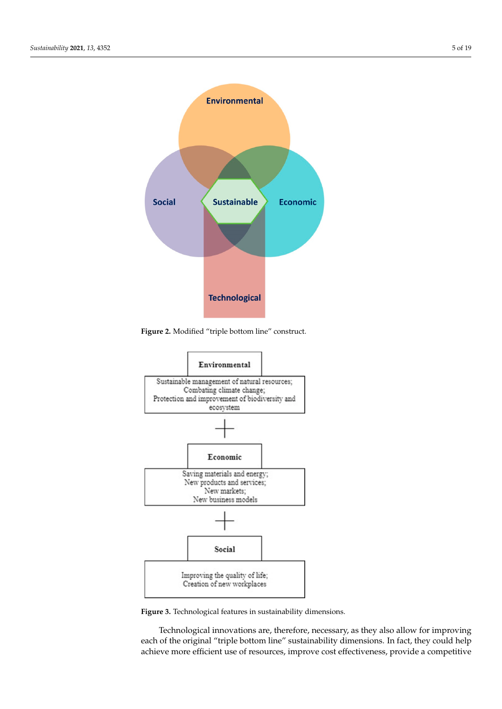<span id="page-4-0"></span>

**Figure 2.** Modified "triple bottom line" construct.

<span id="page-4-1"></span>

**Figure 3.** Technological features in sustainability dimensions**. Figure 3.** Technological features in sustainability dimensions.

Technological innovations are, therefore, necessary, as they also allow for improving each of the original "triple bottom line" sustainability dimensions. In fact, they could help each of the original "triple bottom line" sustainability dimensions. In fact, they counting-<br>achieve more efficient use of resources, improve cost effectiveness, provide a competitive achieve more efficient use of resources, improve cost effectiveness, provide a competitive Technological innovations are, therefore, necessary, as they also allow for improving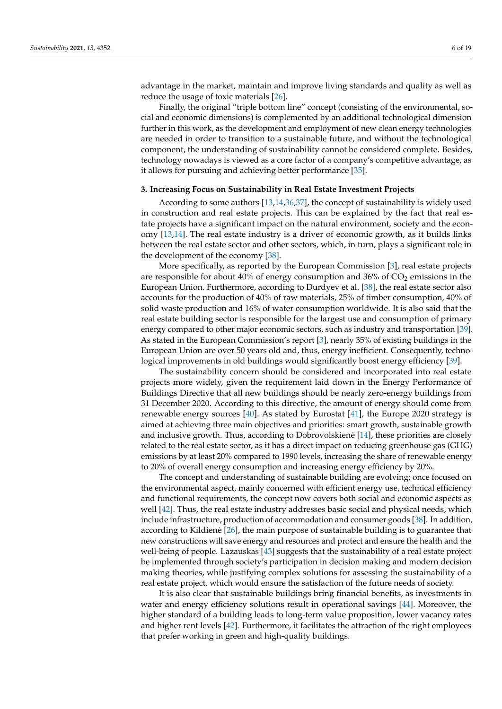advantage in the market, maintain and improve living standards and quality as well as reduce the usage of toxic materials [\[26\]](#page-15-9).

Finally, the original "triple bottom line" concept (consisting of the environmental, social and economic dimensions) is complemented by an additional technological dimension further in this work, as the development and employment of new clean energy technologies are needed in order to transition to a sustainable future, and without the technological component, the understanding of sustainability cannot be considered complete. Besides, technology nowadays is viewed as a core factor of a company's competitive advantage, as it allows for pursuing and achieving better performance [\[35\]](#page-15-14).

#### <span id="page-5-0"></span>**3. Increasing Focus on Sustainability in Real Estate Investment Projects**

According to some authors [\[13,](#page-14-10)[14,](#page-14-11)[36,](#page-15-15)[37\]](#page-15-16), the concept of sustainability is widely used in construction and real estate projects. This can be explained by the fact that real estate projects have a significant impact on the natural environment, society and the economy [\[13](#page-14-10)[,14\]](#page-14-11). The real estate industry is a driver of economic growth, as it builds links between the real estate sector and other sectors, which, in turn, plays a significant role in the development of the economy [\[38\]](#page-15-17).

More specifically, as reported by the European Commission [\[3\]](#page-14-2), real estate projects are responsible for about  $40\%$  of energy consumption and  $36\%$  of  $CO<sub>2</sub>$  emissions in the European Union. Furthermore, according to Durdyev et al. [\[38\]](#page-15-17), the real estate sector also accounts for the production of 40% of raw materials, 25% of timber consumption, 40% of solid waste production and 16% of water consumption worldwide. It is also said that the real estate building sector is responsible for the largest use and consumption of primary energy compared to other major economic sectors, such as industry and transportation [\[39\]](#page-15-18). As stated in the European Commission's report [\[3\]](#page-14-2), nearly 35% of existing buildings in the European Union are over 50 years old and, thus, energy inefficient. Consequently, technological improvements in old buildings would significantly boost energy efficiency [\[39\]](#page-15-18).

The sustainability concern should be considered and incorporated into real estate projects more widely, given the requirement laid down in the Energy Performance of Buildings Directive that all new buildings should be nearly zero-energy buildings from 31 December 2020. According to this directive, the amount of energy should come from renewable energy sources [\[40\]](#page-15-19). As stated by Eurostat [\[41\]](#page-15-20), the Europe 2020 strategy is aimed at achieving three main objectives and priorities: smart growth, sustainable growth and inclusive growth. Thus, according to Dobrovolskiene [ ˙ [14\]](#page-14-11), these priorities are closely related to the real estate sector, as it has a direct impact on reducing greenhouse gas (GHG) emissions by at least 20% compared to 1990 levels, increasing the share of renewable energy to 20% of overall energy consumption and increasing energy efficiency by 20%.

The concept and understanding of sustainable building are evolving; once focused on the environmental aspect, mainly concerned with efficient energy use, technical efficiency and functional requirements, the concept now covers both social and economic aspects as well [\[42\]](#page-15-21). Thus, the real estate industry addresses basic social and physical needs, which include infrastructure, production of accommodation and consumer goods [\[38\]](#page-15-17). In addition, according to Kildiene [[26\]](#page-15-9), the main purpose of sustainable building is to guarantee that new constructions will save energy and resources and protect and ensure the health and the well-being of people. Lazauskas [\[43\]](#page-15-22) suggests that the sustainability of a real estate project be implemented through society's participation in decision making and modern decision making theories, while justifying complex solutions for assessing the sustainability of a real estate project, which would ensure the satisfaction of the future needs of society.

It is also clear that sustainable buildings bring financial benefits, as investments in water and energy efficiency solutions result in operational savings [\[44\]](#page-15-23). Moreover, the higher standard of a building leads to long-term value proposition, lower vacancy rates and higher rent levels [\[42\]](#page-15-21). Furthermore, it facilitates the attraction of the right employees that prefer working in green and high-quality buildings.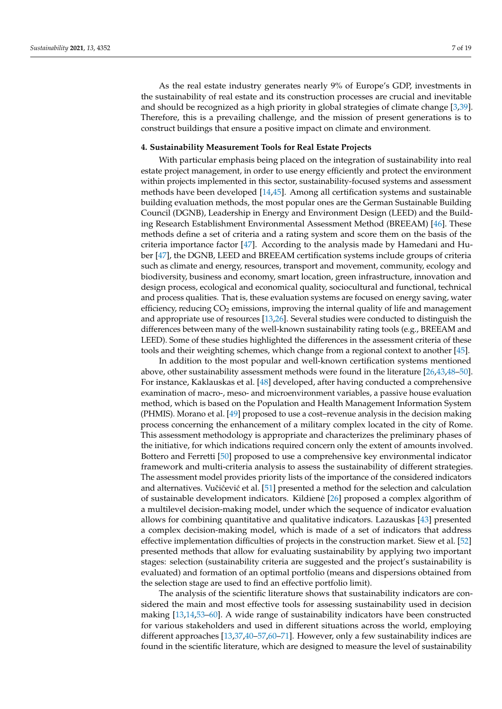As the real estate industry generates nearly 9% of Europe's GDP, investments in the sustainability of real estate and its construction processes are crucial and inevitable and should be recognized as a high priority in global strategies of climate change [\[3,](#page-14-2)[39\]](#page-15-18). Therefore, this is a prevailing challenge, and the mission of present generations is to construct buildings that ensure a positive impact on climate and environment.

## <span id="page-6-0"></span>**4. Sustainability Measurement Tools for Real Estate Projects**

With particular emphasis being placed on the integration of sustainability into real estate project management, in order to use energy efficiently and protect the environment within projects implemented in this sector, sustainability-focused systems and assessment methods have been developed [\[14](#page-14-11)[,45\]](#page-15-24). Among all certification systems and sustainable building evaluation methods, the most popular ones are the German Sustainable Building Council (DGNB), Leadership in Energy and Environment Design (LEED) and the Building Research Establishment Environmental Assessment Method (BREEAM) [\[46\]](#page-16-0). These methods define a set of criteria and a rating system and score them on the basis of the criteria importance factor [\[47\]](#page-16-1). According to the analysis made by Hamedani and Huber [\[47\]](#page-16-1), the DGNB, LEED and BREEAM certification systems include groups of criteria such as climate and energy, resources, transport and movement, community, ecology and biodiversity, business and economy, smart location, green infrastructure, innovation and design process, ecological and economical quality, sociocultural and functional, technical and process qualities. That is, these evaluation systems are focused on energy saving, water efficiency, reducing  $CO<sub>2</sub>$  emissions, improving the internal quality of life and management and appropriate use of resources [\[13](#page-14-10)[,26\]](#page-15-9). Several studies were conducted to distinguish the differences between many of the well-known sustainability rating tools (e.g., BREEAM and LEED). Some of these studies highlighted the differences in the assessment criteria of these tools and their weighting schemes, which change from a regional context to another [\[45\]](#page-15-24).

In addition to the most popular and well-known certification systems mentioned above, other sustainability assessment methods were found in the literature [\[26](#page-15-9)[,43](#page-15-22)[,48](#page-16-2)[–50\]](#page-16-3). For instance, Kaklauskas et al. [\[48\]](#page-16-2) developed, after having conducted a comprehensive examination of macro-, meso- and microenvironment variables, a passive house evaluation method, which is based on the Population and Health Management Information System (PHMIS). Morano et al. [\[49\]](#page-16-4) proposed to use a cost–revenue analysis in the decision making process concerning the enhancement of a military complex located in the city of Rome. This assessment methodology is appropriate and characterizes the preliminary phases of the initiative, for which indications required concern only the extent of amounts involved. Bottero and Ferretti [\[50\]](#page-16-3) proposed to use a comprehensive key environmental indicator framework and multi-criteria analysis to assess the sustainability of different strategies. The assessment model provides priority lists of the importance of the considered indicators and alternatives. Vučićević et al. [\[51\]](#page-16-5) presented a method for the selection and calculation of sustainable development indicators. Kildiene [ ˙ [26\]](#page-15-9) proposed a complex algorithm of a multilevel decision-making model, under which the sequence of indicator evaluation allows for combining quantitative and qualitative indicators. Lazauskas [\[43\]](#page-15-22) presented a complex decision-making model, which is made of a set of indicators that address effective implementation difficulties of projects in the construction market. Siew et al. [\[52\]](#page-16-6) presented methods that allow for evaluating sustainability by applying two important stages: selection (sustainability criteria are suggested and the project's sustainability is evaluated) and formation of an optimal portfolio (means and dispersions obtained from the selection stage are used to find an effective portfolio limit).

The analysis of the scientific literature shows that sustainability indicators are considered the main and most effective tools for assessing sustainability used in decision making [\[13,](#page-14-10)[14,](#page-14-11)[53](#page-16-7)[–60\]](#page-16-8). A wide range of sustainability indicators have been constructed for various stakeholders and used in different situations across the world, employing different approaches [\[13,](#page-14-10)[37,](#page-15-16)[40–](#page-15-19)[57,](#page-16-9)[60](#page-16-8)[–71\]](#page-16-10). However, only a few sustainability indices are found in the scientific literature, which are designed to measure the level of sustainability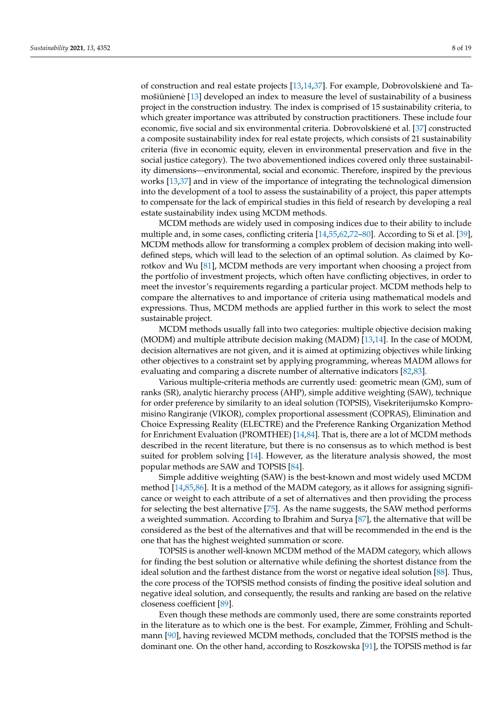of construction and real estate projects [\[13](#page-14-10)[,14](#page-14-11)[,37\]](#page-15-16). For example, Dobrovolskiene and Ta- ˙ mošiūnienė [[13\]](#page-14-10) developed an index to measure the level of sustainability of a business project in the construction industry. The index is comprised of 15 sustainability criteria, to which greater importance was attributed by construction practitioners. These include four economic, five social and six environmental criteria. Dobrovolskiene et al. [[37\]](#page-15-16) constructed a composite sustainability index for real estate projects, which consists of 21 sustainability criteria (five in economic equity, eleven in environmental preservation and five in the social justice category). The two abovementioned indices covered only three sustainability dimensions—environmental, social and economic. Therefore, inspired by the previous works [\[13](#page-14-10)[,37\]](#page-15-16) and in view of the importance of integrating the technological dimension into the development of a tool to assess the sustainability of a project, this paper attempts to compensate for the lack of empirical studies in this field of research by developing a real estate sustainability index using MCDM methods.

MCDM methods are widely used in composing indices due to their ability to include multiple and, in some cases, conflicting criteria [\[14,](#page-14-11)[55](#page-16-11)[,62](#page-16-12)[,72–](#page-16-13)[80\]](#page-17-0). According to Si et al. [\[39\]](#page-15-18), MCDM methods allow for transforming a complex problem of decision making into welldefined steps, which will lead to the selection of an optimal solution. As claimed by Korotkov and Wu [\[81\]](#page-17-1), MCDM methods are very important when choosing a project from the portfolio of investment projects, which often have conflicting objectives, in order to meet the investor's requirements regarding a particular project. MCDM methods help to compare the alternatives to and importance of criteria using mathematical models and expressions. Thus, MCDM methods are applied further in this work to select the most sustainable project.

MCDM methods usually fall into two categories: multiple objective decision making (MODM) and multiple attribute decision making (MADM) [\[13,](#page-14-10)[14\]](#page-14-11). In the case of MODM, decision alternatives are not given, and it is aimed at optimizing objectives while linking other objectives to a constraint set by applying programming, whereas MADM allows for evaluating and comparing a discrete number of alternative indicators [\[82,](#page-17-2)[83\]](#page-17-3).

Various multiple-criteria methods are currently used: geometric mean (GM), sum of ranks (SR), analytic hierarchy process (AHP), simple additive weighting (SAW), technique for order preference by similarity to an ideal solution (TOPSIS), Visekriterijumsko Kompromisino Rangiranje (VIKOR), complex proportional assessment (COPRAS), Elimination and Choice Expressing Reality (ELECTRE) and the Preference Ranking Organization Method for Enrichment Evaluation (PROMTHEE) [\[14](#page-14-11)[,84\]](#page-17-4). That is, there are a lot of MCDM methods described in the recent literature, but there is no consensus as to which method is best suited for problem solving [\[14\]](#page-14-11). However, as the literature analysis showed, the most popular methods are SAW and TOPSIS [\[84\]](#page-17-4).

Simple additive weighting (SAW) is the best-known and most widely used MCDM method [\[14,](#page-14-11)[85,](#page-17-5)[86\]](#page-17-6). It is a method of the MADM category, as it allows for assigning significance or weight to each attribute of a set of alternatives and then providing the process for selecting the best alternative [\[75\]](#page-16-14). As the name suggests, the SAW method performs a weighted summation. According to Ibrahim and Surya [\[87\]](#page-17-7), the alternative that will be considered as the best of the alternatives and that will be recommended in the end is the one that has the highest weighted summation or score.

TOPSIS is another well-known MCDM method of the MADM category, which allows for finding the best solution or alternative while defining the shortest distance from the ideal solution and the farthest distance from the worst or negative ideal solution [\[88\]](#page-17-8). Thus, the core process of the TOPSIS method consists of finding the positive ideal solution and negative ideal solution, and consequently, the results and ranking are based on the relative closeness coefficient [\[89\]](#page-17-9).

Even though these methods are commonly used, there are some constraints reported in the literature as to which one is the best. For example, Zimmer, Fröhling and Schultmann [\[90\]](#page-17-10), having reviewed MCDM methods, concluded that the TOPSIS method is the dominant one. On the other hand, according to Roszkowska [\[91\]](#page-17-11), the TOPSIS method is far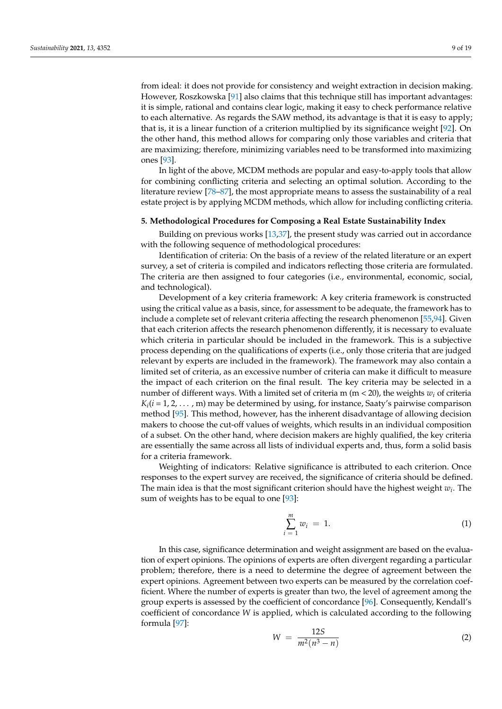from ideal: it does not provide for consistency and weight extraction in decision making. However, Roszkowska [\[91\]](#page-17-11) also claims that this technique still has important advantages: it is simple, rational and contains clear logic, making it easy to check performance relative to each alternative. As regards the SAW method, its advantage is that it is easy to apply; that is, it is a linear function of a criterion multiplied by its significance weight [\[92\]](#page-17-12). On the other hand, this method allows for comparing only those variables and criteria that are maximizing; therefore, minimizing variables need to be transformed into maximizing ones [\[93\]](#page-17-13).

In light of the above, MCDM methods are popular and easy-to-apply tools that allow for combining conflicting criteria and selecting an optimal solution. According to the literature review [\[78](#page-17-14)[–87\]](#page-17-7), the most appropriate means to assess the sustainability of a real estate project is by applying MCDM methods, which allow for including conflicting criteria.

#### <span id="page-8-0"></span>**5. Methodological Procedures for Composing a Real Estate Sustainability Index**

Building on previous works [\[13](#page-14-10)[,37\]](#page-15-16), the present study was carried out in accordance with the following sequence of methodological procedures:

Identification of criteria: On the basis of a review of the related literature or an expert survey, a set of criteria is compiled and indicators reflecting those criteria are formulated. The criteria are then assigned to four categories (i.e., environmental, economic, social, and technological).

Development of a key criteria framework: A key criteria framework is constructed using the critical value as a basis, since, for assessment to be adequate, the framework has to include a complete set of relevant criteria affecting the research phenomenon [\[55](#page-16-11)[,94\]](#page-17-15). Given that each criterion affects the research phenomenon differently, it is necessary to evaluate which criteria in particular should be included in the framework. This is a subjective process depending on the qualifications of experts (i.e., only those criteria that are judged relevant by experts are included in the framework). The framework may also contain a limited set of criteria, as an excessive number of criteria can make it difficult to measure the impact of each criterion on the final result. The key criteria may be selected in a number of different ways. With a limited set of criteria m (m < 20), the weights *w<sup>i</sup>* of criteria  $K_i$ ( $i$  = 1, 2, . . . , m) may be determined by using, for instance, Saaty's pairwise comparison method [\[95\]](#page-17-16). This method, however, has the inherent disadvantage of allowing decision makers to choose the cut-off values of weights, which results in an individual composition of a subset. On the other hand, where decision makers are highly qualified, the key criteria are essentially the same across all lists of individual experts and, thus, form a solid basis for a criteria framework.

Weighting of indicators: Relative significance is attributed to each criterion. Once responses to the expert survey are received, the significance of criteria should be defined. The main idea is that the most significant criterion should have the highest weight *w<sup>i</sup>* . The sum of weights has to be equal to one [\[93\]](#page-17-13):

$$
\sum_{i=1}^{m} w_i = 1. \tag{1}
$$

In this case, significance determination and weight assignment are based on the evaluation of expert opinions. The opinions of experts are often divergent regarding a particular problem; therefore, there is a need to determine the degree of agreement between the expert opinions. Agreement between two experts can be measured by the correlation coefficient. Where the number of experts is greater than two, the level of agreement among the group experts is assessed by the coefficient of concordance [\[96\]](#page-17-17). Consequently, Kendall's coefficient of concordance *W* is applied, which is calculated according to the following formula [\[97\]](#page-17-18):

$$
W = \frac{12S}{m^2(n^3 - n)}
$$
 (2)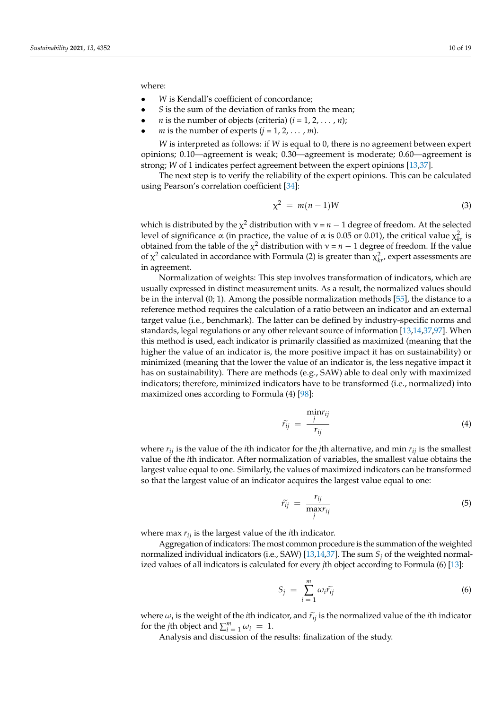where:

- W is Kendall's coefficient of concordance:
- *S* is the sum of the deviation of ranks from the mean;
- *n* is the number of objects (criteria)  $(i = 1, 2, ..., n)$ ;
- *m* is the number of experts  $(j = 1, 2, \ldots, m)$ .

*W* is interpreted as follows: if *W* is equal to 0, there is no agreement between expert opinions; 0.10—agreement is weak; 0.30—agreement is moderate; 0.60—agreement is strong; *W* of 1 indicates perfect agreement between the expert opinions [\[13](#page-14-10)[,37\]](#page-15-16).

The next step is to verify the reliability of the expert opinions. This can be calculated using Pearson's correlation coefficient [\[34\]](#page-15-13):

$$
\chi^2 = m(n-1)W\tag{3}
$$

which is distributed by the  $\chi^2$  distribution with  $\nu$  =  $n-1$  degree of freedom. At the selected level of significance  $\alpha$  (in practice, the value of  $\alpha$  is 0.05 or 0.01), the critical value  $\chi^2_{kr}$  is obtained from the table of the  $\chi^2$  distribution with  $\nu = n - 1$  degree of freedom. If the value of  $\chi^2$  calculated in accordance with Formula (2) is greater than  $\chi^2_{kr}$ , expert assessments are in agreement.

Normalization of weights: This step involves transformation of indicators, which are usually expressed in distinct measurement units. As a result, the normalized values should be in the interval (0; 1). Among the possible normalization methods [\[55\]](#page-16-11), the distance to a reference method requires the calculation of a ratio between an indicator and an external target value (i.e., benchmark). The latter can be defined by industry-specific norms and standards, legal regulations or any other relevant source of information [\[13,](#page-14-10)[14](#page-14-11)[,37](#page-15-16)[,97\]](#page-17-18). When this method is used, each indicator is primarily classified as maximized (meaning that the higher the value of an indicator is, the more positive impact it has on sustainability) or minimized (meaning that the lower the value of an indicator is, the less negative impact it has on sustainability). There are methods (e.g., SAW) able to deal only with maximized indicators; therefore, minimized indicators have to be transformed (i.e., normalized) into maximized ones according to Formula (4) [\[98\]](#page-17-19):

$$
\tilde{r}_{ij} = \frac{\min r_{ij}}{r_{ij}} \tag{4}
$$

where  $r_{ij}$  is the value of the *i*th indicator for the *j*th alternative, and min  $r_{ij}$  is the smallest value of the *i*th indicator. After normalization of variables, the smallest value obtains the largest value equal to one. Similarly, the values of maximized indicators can be transformed so that the largest value of an indicator acquires the largest value equal to one:

$$
\widetilde{r}_{ij} = \frac{r_{ij}}{\max_{j} r_{ij}} \tag{5}
$$

where max *rij* is the largest value of the *i*th indicator.

Aggregation of indicators: The most common procedure is the summation of the weighted normalized individual indicators (i.e., SAW) [\[13](#page-14-10)[,14](#page-14-11)[,37\]](#page-15-16). The sum *S<sup>j</sup>* of the weighted normalized values of all indicators is calculated for every *j*th object according to Formula (6) [\[13\]](#page-14-10):

$$
S_j = \sum_{i=1}^m \omega_i \widetilde{r_{ij}} \tag{6}
$$

where  $\omega_i$  is the weight of the *i*th indicator, and  $\tilde{r}_{ij}$  is the normalized value of the *i*th indicator for the *i*th object and  $\sum_{i=1}^{m}$ for the *j*th object and  $\sum_{i=1}^{m} \omega_i = 1$ .

Analysis and discussion of the results: finalization of the study.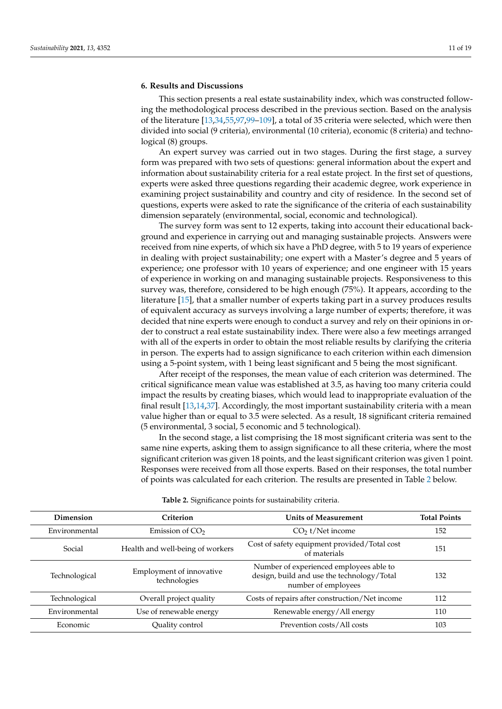## <span id="page-10-0"></span>**6. Results and Discussions**

This section presents a real estate sustainability index, which was constructed following the methodological process described in the previous section. Based on the analysis of the literature [\[13](#page-14-10)[,34](#page-15-13)[,55](#page-16-11)[,97](#page-17-18)[,99](#page-17-20)[–109\]](#page-18-0), a total of 35 criteria were selected, which were then divided into social (9 criteria), environmental (10 criteria), economic (8 criteria) and technological (8) groups.

An expert survey was carried out in two stages. During the first stage, a survey form was prepared with two sets of questions: general information about the expert and information about sustainability criteria for a real estate project. In the first set of questions, experts were asked three questions regarding their academic degree, work experience in examining project sustainability and country and city of residence. In the second set of questions, experts were asked to rate the significance of the criteria of each sustainability dimension separately (environmental, social, economic and technological).

The survey form was sent to 12 experts, taking into account their educational background and experience in carrying out and managing sustainable projects. Answers were received from nine experts, of which six have a PhD degree, with 5 to 19 years of experience in dealing with project sustainability; one expert with a Master's degree and 5 years of experience; one professor with 10 years of experience; and one engineer with 15 years of experience in working on and managing sustainable projects. Responsiveness to this survey was, therefore, considered to be high enough (75%). It appears, according to the literature [\[15\]](#page-14-12), that a smaller number of experts taking part in a survey produces results of equivalent accuracy as surveys involving a large number of experts; therefore, it was decided that nine experts were enough to conduct a survey and rely on their opinions in order to construct a real estate sustainability index. There were also a few meetings arranged with all of the experts in order to obtain the most reliable results by clarifying the criteria in person. The experts had to assign significance to each criterion within each dimension using a 5-point system, with 1 being least significant and 5 being the most significant.

After receipt of the responses, the mean value of each criterion was determined. The critical significance mean value was established at 3.5, as having too many criteria could impact the results by creating biases, which would lead to inappropriate evaluation of the final result [\[13,](#page-14-10)[14,](#page-14-11)[37\]](#page-15-16). Accordingly, the most important sustainability criteria with a mean value higher than or equal to 3.5 were selected. As a result, 18 significant criteria remained (5 environmental, 3 social, 5 economic and 5 technological).

In the second stage, a list comprising the 18 most significant criteria was sent to the same nine experts, asking them to assign significance to all these criteria, where the most significant criterion was given 18 points, and the least significant criterion was given 1 point. Responses were received from all those experts. Based on their responses, the total number of points was calculated for each criterion. The results are presented in Table [2](#page-11-0) below.

|  | Table 2. Significance points for sustainability criteria. |
|--|-----------------------------------------------------------|
|--|-----------------------------------------------------------|

| Dimension     | Criterion                                | <b>Units of Measurement</b>                                                                                  | <b>Total Points</b> |
|---------------|------------------------------------------|--------------------------------------------------------------------------------------------------------------|---------------------|
| Environmental | Emission of $CO2$                        | $CO2$ t/Net income                                                                                           | 152                 |
| Social        | Health and well-being of workers         | Cost of safety equipment provided/Total cost<br>of materials                                                 | 151                 |
| Technological | Employment of innovative<br>technologies | Number of experienced employees able to<br>design, build and use the technology/Total<br>number of employees | 132                 |
| Technological | Overall project quality                  | Costs of repairs after construction/Net income                                                               | 112                 |
| Environmental | Use of renewable energy                  | Renewable energy/All energy                                                                                  | 110                 |
| Economic      | Quality control                          | Prevention costs/All costs                                                                                   | 103                 |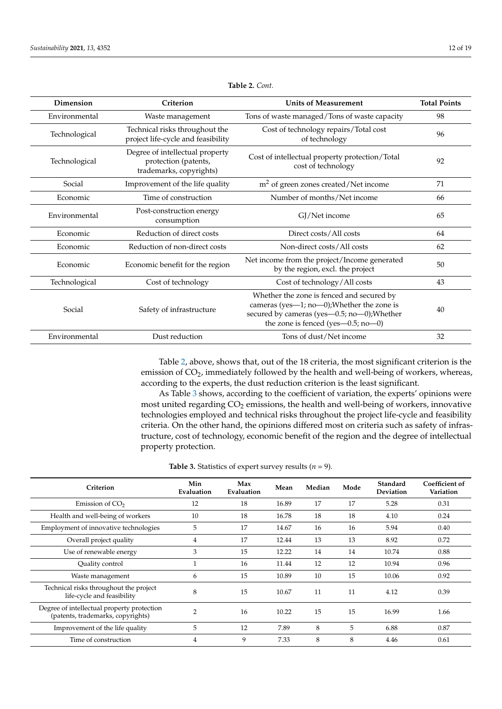<span id="page-11-0"></span>

| Dimension     | Criterion                                                                          | <b>Units of Measurement</b>                                                                                                                                                          | <b>Total Points</b> |
|---------------|------------------------------------------------------------------------------------|--------------------------------------------------------------------------------------------------------------------------------------------------------------------------------------|---------------------|
| Environmental | Waste management                                                                   | Tons of waste managed/Tons of waste capacity                                                                                                                                         | 98                  |
| Technological | Technical risks throughout the<br>project life-cycle and feasibility               | Cost of technology repairs/Total cost<br>of technology                                                                                                                               | 96                  |
| Technological | Degree of intellectual property<br>protection (patents,<br>trademarks, copyrights) | Cost of intellectual property protection/Total<br>cost of technology                                                                                                                 | 92                  |
| Social        | Improvement of the life quality                                                    | $m2$ of green zones created/Net income                                                                                                                                               | 71                  |
| Economic      | Time of construction                                                               | Number of months/Net income                                                                                                                                                          | 66                  |
| Environmental | Post-construction energy<br>consumption                                            | GJ/Net income                                                                                                                                                                        | 65                  |
| Economic      | Reduction of direct costs                                                          | Direct costs/All costs                                                                                                                                                               | 64                  |
| Economic      | Reduction of non-direct costs                                                      | Non-direct costs/All costs                                                                                                                                                           | 62                  |
| Economic      | Economic benefit for the region                                                    | Net income from the project/Income generated<br>by the region, excl. the project                                                                                                     | 50                  |
| Technological | Cost of technology                                                                 | Cost of technology/All costs                                                                                                                                                         | 43                  |
| Social        | Safety of infrastructure                                                           | Whether the zone is fenced and secured by<br>cameras (yes-1; no-0); Whether the zone is<br>secured by cameras (yes-0.5; no-0); Whether<br>the zone is fenced (yes— $0.5$ ; no— $0$ ) | 40                  |
| Environmental | Dust reduction                                                                     | Tons of dust/Net income                                                                                                                                                              | 32                  |

**Table 2.** *Cont.*

Table [2,](#page-11-0) above, shows that, out of the 18 criteria, the most significant criterion is the emission of CO<sub>2</sub>, immediately followed by the health and well-being of workers, whereas, according to the experts, the dust reduction criterion is the least significant.

As Table [3](#page-12-0) shows, according to the coefficient of variation, the experts' opinions were most united regarding  $CO<sub>2</sub>$  emissions, the health and well-being of workers, innovative technologies employed and technical risks throughout the project life-cycle and feasibility criteria. On the other hand, the opinions differed most on criteria such as safety of infrastructure, cost of technology, economic benefit of the region and the degree of intellectual property protection.

## **Table 3.** Statistics of expert survey results  $(n = 9)$ .

| Criterion                                                                       | Min<br>Evaluation | Max<br>Evaluation | Mean  | Median | Mode | Standard<br>Deviation | Coefficient of<br>Variation |
|---------------------------------------------------------------------------------|-------------------|-------------------|-------|--------|------|-----------------------|-----------------------------|
| Emission of $CO2$                                                               | 12                | 18                | 16.89 | 17     | 17   | 5.28                  | 0.31                        |
| Health and well-being of workers                                                | 10                | 18                | 16.78 | 18     | 18   | 4.10                  | 0.24                        |
| Employment of innovative technologies                                           | 5                 | 17                | 14.67 | 16     | 16   | 5.94                  | 0.40                        |
| Overall project quality                                                         | 4                 | 17                | 12.44 | 13     | 13   | 8.92                  | 0.72                        |
| Use of renewable energy                                                         | 3                 | 15                | 12.22 | 14     | 14   | 10.74                 | 0.88                        |
| Quality control                                                                 |                   | 16                | 11.44 | 12     | 12   | 10.94                 | 0.96                        |
| Waste management                                                                | 6                 | 15                | 10.89 | 10     | 15   | 10.06                 | 0.92                        |
| Technical risks throughout the project<br>life-cycle and feasibility            | 8                 | 15                | 10.67 | 11     | 11   | 4.12                  | 0.39                        |
| Degree of intellectual property protection<br>(patents, trademarks, copyrights) | $\overline{2}$    | 16                | 10.22 | 15     | 15   | 16.99                 | 1.66                        |
| Improvement of the life quality                                                 | 5                 | 12                | 7.89  | 8      | 5    | 6.88                  | 0.87                        |
| Time of construction                                                            | 4                 | 9                 | 7.33  | 8      | 8    | 4.46                  | 0.61                        |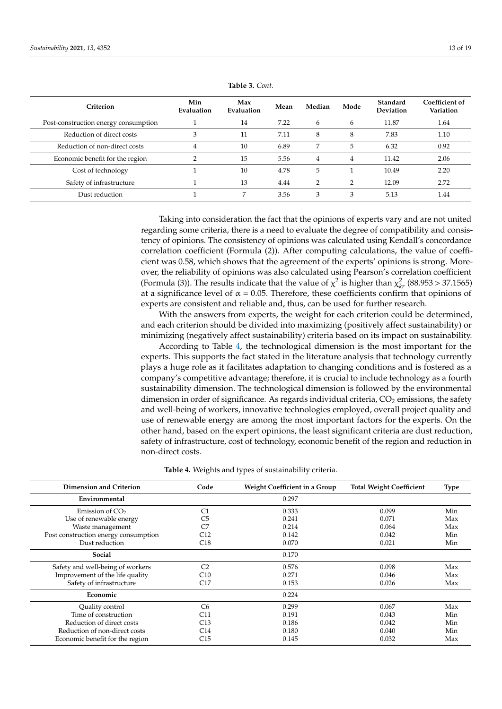<span id="page-12-0"></span>

| Criterion                            | Min<br>Evaluation | Max<br>Evaluation | Mean | Median        | Mode | Standard<br><b>Deviation</b> | Coefficient of<br>Variation |
|--------------------------------------|-------------------|-------------------|------|---------------|------|------------------------------|-----------------------------|
| Post-construction energy consumption |                   | 14                | 7.22 | 6             | 6    | 11.87                        | 1.64                        |
| Reduction of direct costs            |                   | 11                | 7.11 | 8             | 8    | 7.83                         | 1.10                        |
| Reduction of non-direct costs        | 4                 | 10                | 6.89 | 7             | 5    | 6.32                         | 0.92                        |
| Economic benefit for the region      |                   | 15                | 5.56 | 4             | 4    | 11.42                        | 2.06                        |
| Cost of technology                   |                   | 10                | 4.78 | 5             |      | 10.49                        | 2.20                        |
| Safety of infrastructure             |                   | 13                | 4.44 | $\mathcal{D}$ | ◠    | 12.09                        | 2.72                        |
| Dust reduction                       |                   | $\overline{7}$    | 3.56 | 3             | 3    | 5.13                         | 1.44                        |

**Table 3.** *Cont.*

Taking into consideration the fact that the opinions of experts vary and are not united regarding some criteria, there is a need to evaluate the degree of compatibility and consistency of opinions. The consistency of opinions was calculated using Kendall's concordance correlation coefficient (Formula (2)). After computing calculations, the value of coefficient was 0.58, which shows that the agreement of the experts' opinions is strong. Moreover, the reliability of opinions was also calculated using Pearson's correlation coefficient (Formula (3)). The results indicate that the value of  $\chi^2$  is higher than  $\chi^2_{kr}$  (88.953 > 37.1565) at a significance level of  $\alpha$  = 0.05. Therefore, these coefficients confirm that opinions of experts are consistent and reliable and, thus, can be used for further research.

With the answers from experts, the weight for each criterion could be determined, and each criterion should be divided into maximizing (positively affect sustainability) or minimizing (negatively affect sustainability) criteria based on its impact on sustainability.

According to Table [4,](#page-13-0) the technological dimension is the most important for the experts. This supports the fact stated in the literature analysis that technology currently plays a huge role as it facilitates adaptation to changing conditions and is fostered as a company's competitive advantage; therefore, it is crucial to include technology as a fourth sustainability dimension. The technological dimension is followed by the environmental dimension in order of significance. As regards individual criteria,  $CO<sub>2</sub>$  emissions, the safety and well-being of workers, innovative technologies employed, overall project quality and use of renewable energy are among the most important factors for the experts. On the other hand, based on the expert opinions, the least significant criteria are dust reduction, safety of infrastructure, cost of technology, economic benefit of the region and reduction in non-direct costs.

|  |  |  |  |  | <b>Table 4.</b> Weights and types of sustainability criteria. |  |  |
|--|--|--|--|--|---------------------------------------------------------------|--|--|
|--|--|--|--|--|---------------------------------------------------------------|--|--|

| <b>Dimension and Criterion</b>       | Code            | Weight Coefficient in a Group | <b>Total Weight Coefficient</b> | <b>Type</b> |
|--------------------------------------|-----------------|-------------------------------|---------------------------------|-------------|
| Environmental                        |                 | 0.297                         |                                 |             |
| Emission of $CO2$                    | C1              | 0.333                         | 0.099                           | Min         |
| Use of renewable energy              | C5              | 0.241                         | 0.071                           | Max         |
| Waste management                     | C7              | 0.214                         | 0.064                           | Max         |
| Post construction energy consumption | C12             | 0.142                         | 0.042                           | Min         |
| Dust reduction                       | C18             | 0.070                         | 0.021                           | Min         |
| Social                               |                 | 0.170                         |                                 |             |
| Safety and well-being of workers     | C <sub>2</sub>  | 0.576                         | 0.098                           | Max         |
| Improvement of the life quality      | C10             | 0.271                         | 0.046                           | Max         |
| Safety of infrastructure             | C17             | 0.153                         | 0.026                           | Max         |
| Economic                             |                 | 0.224                         |                                 |             |
| Quality control                      | C <sub>6</sub>  | 0.299                         | 0.067                           | Max         |
| Time of construction                 | C11             | 0.191                         | 0.043                           | Min         |
| Reduction of direct costs            | C13             | 0.186                         | 0.042                           | Min         |
| Reduction of non-direct costs        | C <sub>14</sub> | 0.180                         | 0.040                           | Min         |
| Economic benefit for the region      | C15             | 0.145                         | 0.032                           | Max         |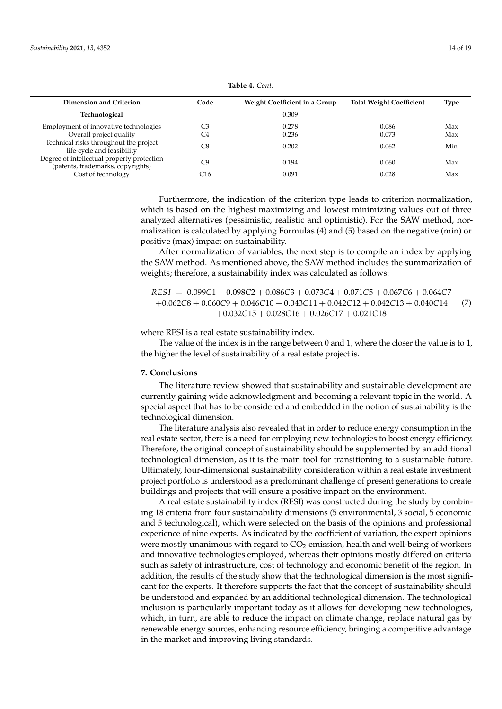<span id="page-13-0"></span>

| <b>Dimension and Criterion</b>                                                  | Code | Weight Coefficient in a Group | <b>Total Weight Coefficient</b> | Type |
|---------------------------------------------------------------------------------|------|-------------------------------|---------------------------------|------|
| Technological                                                                   |      | 0.309                         |                                 |      |
| Employment of innovative technologies                                           | CЗ   | 0.278                         | 0.086                           | Max  |
| Overall project quality                                                         | C4   | 0.236                         | 0.073                           | Max  |
| Technical risks throughout the project<br>life-cycle and feasibility            | C8   | 0.202                         | 0.062                           | Min  |
| Degree of intellectual property protection<br>(patents, trademarks, copyrights) | C٥   | 0.194                         | 0.060                           | Max  |
| Cost of technology                                                              | C16  | 0.091                         | 0.028                           | Max  |

**Table 4.** *Cont.*

Furthermore, the indication of the criterion type leads to criterion normalization, which is based on the highest maximizing and lowest minimizing values out of three analyzed alternatives (pessimistic, realistic and optimistic). For the SAW method, normalization is calculated by applying Formulas (4) and (5) based on the negative (min) or positive (max) impact on sustainability.

After normalization of variables, the next step is to compile an index by applying the SAW method. As mentioned above, the SAW method includes the summarization of weights; therefore, a sustainability index was calculated as follows:

*RESI* = 0.099*C*1 + 0.098*C*2 + 0.086*C*3 + 0.073*C*4 + 0.071*C*5 + 0.067*C*6 + 0.064*C*7 +0.062*C*8 + 0.060*C*9 + 0.046*C*10 + 0.043*C*11 + 0.042*C*12 + 0.042*C*13 + 0.040*C*14 +0.032*C*15 + 0.028*C*16 + 0.026*C*17 + 0.021*C*18 (7)

where RESI is a real estate sustainability index.

The value of the index is in the range between 0 and 1, where the closer the value is to 1, the higher the level of sustainability of a real estate project is.

#### **7. Conclusions**

The literature review showed that sustainability and sustainable development are currently gaining wide acknowledgment and becoming a relevant topic in the world. A special aspect that has to be considered and embedded in the notion of sustainability is the technological dimension.

The literature analysis also revealed that in order to reduce energy consumption in the real estate sector, there is a need for employing new technologies to boost energy efficiency. Therefore, the original concept of sustainability should be supplemented by an additional technological dimension, as it is the main tool for transitioning to a sustainable future. Ultimately, four-dimensional sustainability consideration within a real estate investment project portfolio is understood as a predominant challenge of present generations to create buildings and projects that will ensure a positive impact on the environment.

A real estate sustainability index (RESI) was constructed during the study by combining 18 criteria from four sustainability dimensions (5 environmental, 3 social, 5 economic and 5 technological), which were selected on the basis of the opinions and professional experience of nine experts. As indicated by the coefficient of variation, the expert opinions were mostly unanimous with regard to  $CO<sub>2</sub>$  emission, health and well-being of workers and innovative technologies employed, whereas their opinions mostly differed on criteria such as safety of infrastructure, cost of technology and economic benefit of the region. In addition, the results of the study show that the technological dimension is the most significant for the experts. It therefore supports the fact that the concept of sustainability should be understood and expanded by an additional technological dimension. The technological inclusion is particularly important today as it allows for developing new technologies, which, in turn, are able to reduce the impact on climate change, replace natural gas by renewable energy sources, enhancing resource efficiency, bringing a competitive advantage in the market and improving living standards.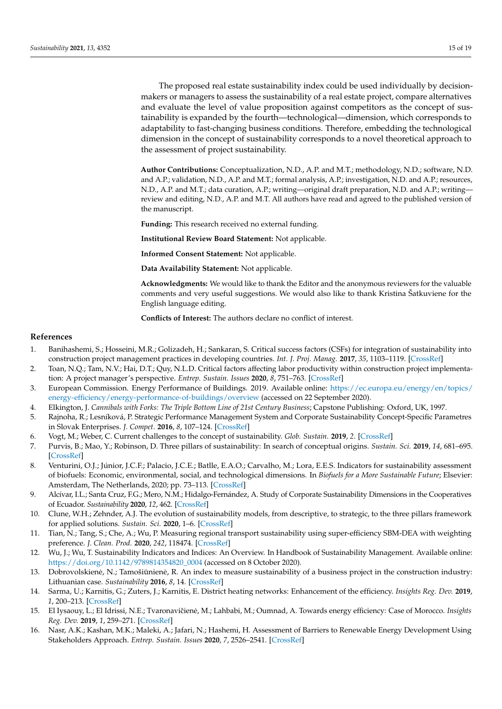The proposed real estate sustainability index could be used individually by decisionmakers or managers to assess the sustainability of a real estate project, compare alternatives and evaluate the level of value proposition against competitors as the concept of sustainability is expanded by the fourth—technological—dimension, which corresponds to adaptability to fast-changing business conditions. Therefore, embedding the technological dimension in the concept of sustainability corresponds to a novel theoretical approach to the assessment of project sustainability.

**Author Contributions:** Conceptualization, N.D., A.P. and M.T.; methodology, N.D.; software, N.D. and A.P.; validation, N.D., A.P. and M.T.; formal analysis, A.P.; investigation, N.D. and A.P.; resources, N.D., A.P. and M.T.; data curation, A.P.; writing—original draft preparation, N.D. and A.P.; writing review and editing, N.D., A.P. and M.T. All authors have read and agreed to the published version of the manuscript.

**Funding:** This research received no external funding.

**Institutional Review Board Statement:** Not applicable.

**Informed Consent Statement:** Not applicable.

**Data Availability Statement:** Not applicable.

**Acknowledgments:** We would like to thank the Editor and the anonymous reviewers for the valuable comments and very useful suggestions. We would also like to thank Kristina Šatkuviene for the English language editing.

**Conflicts of Interest:** The authors declare no conflict of interest.

#### **References**

- <span id="page-14-0"></span>1. Banihashemi, S.; Hosseini, M.R.; Golizadeh, H.; Sankaran, S. Critical success factors (CSFs) for integration of sustainability into construction project management practices in developing countries. *Int. J. Proj. Manag.* **2017**, *35*, 1103–1119. [\[CrossRef\]](http://doi.org/10.1016/j.ijproman.2017.01.014)
- <span id="page-14-1"></span>2. Toan, N.Q.; Tam, N.V.; Hai, D.T.; Quy, N.L.D. Critical factors affecting labor productivity within construction project implementation: A project manager's perspective. *Entrep. Sustain. Issues* **2020**, *8*, 751–763. [\[CrossRef\]](http://doi.org/10.9770/jesi.2020.8.2(45))
- <span id="page-14-2"></span>3. European Commission. Energy Performance of Buildings. 2019. Available online: [https://ec.europa.eu/energy/en/topics/](https://ec.europa.eu/energy/en/topics/energy-efficiency/energy-performance-of-buildings/overview) [energy-efficiency/energy-performance-of-buildings/overview](https://ec.europa.eu/energy/en/topics/energy-efficiency/energy-performance-of-buildings/overview) (accessed on 22 September 2020).
- <span id="page-14-3"></span>4. Elkington, J. *Cannibals with Forks: The Triple Bottom Line of 21st Century Business*; Capstone Publishing: Oxford, UK, 1997.
- <span id="page-14-4"></span>5. Rajnoha, R.; Lesníková, P. Strategic Performance Management System and Corporate Sustainability Concept-Specific Parametres in Slovak Enterprises. *J. Compet.* **2016**, *8*, 107–124. [\[CrossRef\]](http://doi.org/10.7441/joc.2016.03.07)
- <span id="page-14-5"></span>6. Vogt, M.; Weber, C. Current challenges to the concept of sustainability. *Glob. Sustain.* **2019**, *2*. [\[CrossRef\]](http://doi.org/10.1017/sus.2019.1)
- <span id="page-14-8"></span>7. Purvis, B.; Mao, Y.; Robinson, D. Three pillars of sustainability: In search of conceptual origins. *Sustain. Sci.* **2019**, *14*, 681–695. [\[CrossRef\]](http://doi.org/10.1007/s11625-018-0627-5)
- <span id="page-14-9"></span>8. Venturini, O.J.; Júnior, J.C.F.; Palacio, J.C.E.; Batlle, E.A.O.; Carvalho, M.; Lora, E.E.S. Indicators for sustainability assessment of biofuels: Economic, environmental, social, and technological dimensions. In *Biofuels for a More Sustainable Future*; Elsevier: Amsterdam, The Netherlands, 2020; pp. 73–113. [\[CrossRef\]](http://doi.org/10.1016/B978-0-12-815581-3.00004-X)
- 9. Alcívar, I.L.; Santa Cruz, F.G.; Mero, N.M.; Hidalgo-Fernández, A. Study of Corporate Sustainability Dimensions in the Cooperatives of Ecuador. *Sustainability* **2020**, *12*, 462. [\[CrossRef\]](http://doi.org/10.3390/su12020462)
- 10. Clune, W.H.; Zehnder, A.J. The evolution of sustainability models, from descriptive, to strategic, to the three pillars framework for applied solutions. *Sustain. Sci.* **2020**, 1–6. [\[CrossRef\]](http://doi.org/10.1007/s11625-019-00776-8)
- <span id="page-14-6"></span>11. Tian, N.; Tang, S.; Che, A.; Wu, P. Measuring regional transport sustainability using super-efficiency SBM-DEA with weighting preference. *J. Clean. Prod.* **2020**, *242*, 118474. [\[CrossRef\]](http://doi.org/10.1016/j.jclepro.2019.118474)
- <span id="page-14-7"></span>12. Wu, J.; Wu, T. Sustainability Indicators and Indices: An Overview. In Handbook of Sustainability Management. Available online: [https://doi.org/10.1142/9789814354820\\_0004](https://doi.org/10.1142/9789814354820_0004) (accessed on 8 October 2020).
- <span id="page-14-10"></span>13. Dobrovolskienė, N.; Tamošiūnienė, R. An index to measure sustainability of a business project in the construction industry: Lithuanian case. *Sustainability* **2016**, *8*, 14. [\[CrossRef\]](http://doi.org/10.3390/su8010014)
- <span id="page-14-11"></span>14. Sarma, U.; Karnitis, G.; Zuters, J.; Karnitis, E. District heating networks: Enhancement of the efficiency. *Insights Reg. Dev.* **2019**, *1*, 200–213. [\[CrossRef\]](http://doi.org/10.9770/ird.2019.1.3(2))
- <span id="page-14-12"></span>15. El Iysaouy, L.; El Idrissi, N.E.; Tvaronavičienė, M.; Lahbabi, M.; Oumnad, A. Towards energy efficiency: Case of Morocco. *Insights Reg. Dev.* **2019**, *1*, 259–271. [\[CrossRef\]](http://doi.org/10.9770/ird.2019.1.3(6))
- 16. Nasr, A.K.; Kashan, M.K.; Maleki, A.; Jafari, N.; Hashemi, H. Assessment of Barriers to Renewable Energy Development Using Stakeholders Approach. *Entrep. Sustain. Issues* **2020**, *7*, 2526–2541. [\[CrossRef\]](http://doi.org/10.9770/jesi.2020.7.3(71))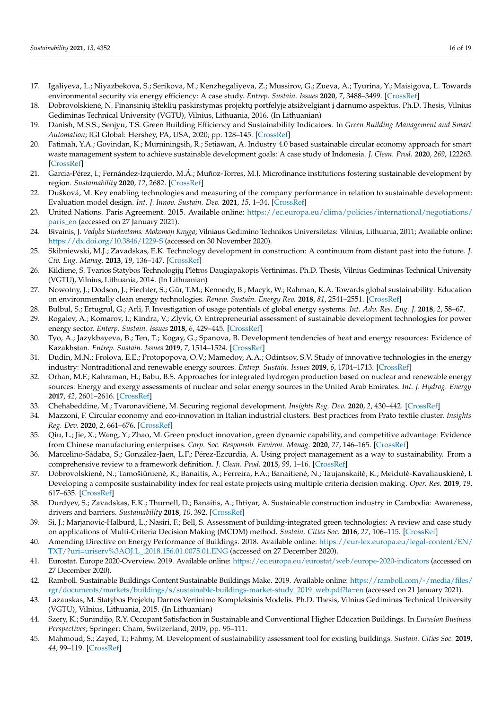- <span id="page-15-0"></span>17. Igaliyeva, L.; Niyazbekova, S.; Serikova, M.; Kenzhegaliyeva, Z.; Mussirov, G.; Zueva, A.; Tyurina, Y.; Maisigova, L. Towards environmental security via energy efficiency: A case study. *Entrep. Sustain. Issues* **2020**, *7*, 3488–3499. [\[CrossRef\]](http://doi.org/10.9770/jesi.2020.7.4(61))
- <span id="page-15-1"></span>18. Dobrovolskienė, N. Finansinių išteklių paskirstymas projektų portfelyje atsižvelgiant į darnumo aspektus. Ph.D. Thesis, Vilnius Gediminas Technical University (VGTU), Vilnius, Lithuania, 2016. (In Lithuanian)
- <span id="page-15-2"></span>19. Danish, M.S.S.; Senjyu, T.S. Green Building Efficiency and Sustainability Indicators. In *Green Building Management and Smart Automation*; IGI Global: Hershey, PA, USA, 2020; pp. 128–145. [\[CrossRef\]](http://doi.org/10.4018/978-1-5225-9754-4.ch006)
- <span id="page-15-3"></span>20. Fatimah, Y.A.; Govindan, K.; Murniningsih, R.; Setiawan, A. Industry 4.0 based sustainable circular economy approach for smart waste management system to achieve sustainable development goals: A case study of Indonesia. *J. Clean. Prod.* **2020**, *269*, 122263. [\[CrossRef\]](http://doi.org/10.1016/j.jclepro.2020.122263)
- <span id="page-15-4"></span>21. García-Pérez, I.; Fernández-Izquierdo, M.Á.; Muñoz-Torres, M.J. Microfinance institutions fostering sustainable development by region. *Sustainability* **2020**, *12*, 2682. [\[CrossRef\]](http://doi.org/10.3390/su12072682)
- <span id="page-15-5"></span>22. Dušková, M. Key enabling technologies and measuring of the company performance in relation to sustainable development: Evaluation model design. *Int. J. Innov. Sustain. Dev.* **2021**, *15*, 1–34. [\[CrossRef\]](http://doi.org/10.1504/IJISD.2021.111551)
- <span id="page-15-6"></span>23. United Nations. Paris Agreement. 2015. Available online: [https://ec.europa.eu/clima/policies/international/negotiations/](https://ec.europa.eu/clima/policies/international/negotiations/paris_en) [paris\\_en](https://ec.europa.eu/clima/policies/international/negotiations/paris_en) (accessed on 27 January 2021).
- <span id="page-15-7"></span>24. Bivainis, J. *Vadyba Studentams: Mokomoji Knyga*; Vilniaus Gedimino Technikos Universitetas: Vilnius, Lithuania, 2011; Available online: <https://dx.doi.org/10.3846/1229-S> (accessed on 30 November 2020).
- <span id="page-15-8"></span>25. Skibniewski, M.J.; Zavadskas, E.K. Technology development in construction: A continuum from distant past into the future. *J. Civ. Eng. Manag.* **2013**, *19*, 136–147. [\[CrossRef\]](http://doi.org/10.3846/13923730.2012.756060)
- <span id="page-15-9"></span>26. Kildienė, S. Tvarios Statybos Technologijų Plėtros Daugiapakopis Vertinimas. Ph.D. Thesis, Vilnius Gediminas Technical University (VGTU), Vilnius, Lithuania, 2014. (In Lithuanian)
- <span id="page-15-10"></span>27. Nowotny, J.; Dodson, J.; Fiechter, S.; Gür, T.M.; Kennedy, B.; Macyk, W.; Rahman, K.A. Towards global sustainability: Education on environmentally clean energy technologies. *Renew. Sustain. Energy Rev.* **2018**, *81*, 2541–2551. [\[CrossRef\]](http://doi.org/10.1016/j.rser.2017.06.060)
- 28. Bulbul, S.; Ertugrul, G.; Arli, F. Investigation of usage potentials of global energy systems. *Int. Adv. Res. Eng. J.* **2018**, *2*, 58–67.
- 29. Rogalev, A.; Komarov, I.; Kindra, V.; Zlyvk, O. Entrepreneurial assessment of sustainable development technologies for power energy sector. *Enterp. Sustain. Issues* **2018**, *6*, 429–445. [\[CrossRef\]](http://doi.org/10.9770/jesi.2018.6.1(26))
- 30. Tyo, A.; Jazykbayeva, B.; Ten, T.; Kogay, G.; Spanova, B. Development tendencies of heat and energy resources: Evidence of Kazakhstan. *Entrep. Sustain. Issues* **2019**, *7*, 1514–1524. [\[CrossRef\]](http://doi.org/10.9770/jesi.2019.7.2(50))
- <span id="page-15-11"></span>31. Dudin, M.N.; Frolova, E.E.; Protopopova, O.V.; Mamedov, A.A.; Odintsov, S.V. Study of innovative technologies in the energy industry: Nontraditional and renewable energy sources. *Entrep. Sustain. Issues* **2019**, *6*, 1704–1713. [\[CrossRef\]](http://doi.org/10.9770/jesi.2019.6.4(11))
- <span id="page-15-12"></span>32. Orhan, M.F.; Kahraman, H.; Babu, B.S. Approaches for integrated hydrogen production based on nuclear and renewable energy sources: Energy and exergy assessments of nuclear and solar energy sources in the United Arab Emirates. *Int. J. Hydrog. Energy* **2017**, *42*, 2601–2616. [\[CrossRef\]](http://doi.org/10.1016/j.ijhydene.2016.05.044)
- 33. Chehabeddine, M.; Tvaronavičienė, M. Securing regional development. *Insights Reg. Dev.* 2020, 2, 430–442. [\[CrossRef\]](http://doi.org/10.9770/IRD.2020.2.1(3))
- <span id="page-15-13"></span>34. Mazzoni, F. Circular economy and eco-innovation in Italian industrial clusters. Best practices from Prato textile cluster. *Insights Reg. Dev.* **2020**, *2*, 661–676. [\[CrossRef\]](http://doi.org/10.9770/IRD.2020.2.3(4))
- <span id="page-15-14"></span>35. Qiu, L.; Jie, X.; Wang, Y.; Zhao, M. Green product innovation, green dynamic capability, and competitive advantage: Evidence from Chinese manufacturing enterprises. *Corp. Soc. Responsib. Environ. Manag.* **2020**, *27*, 146–165. [\[CrossRef\]](http://doi.org/10.1002/csr.1780)
- <span id="page-15-15"></span>36. Marcelino-Sádaba, S.; González-Jaen, L.F.; Pérez-Ezcurdia, A. Using project management as a way to sustainability. From a comprehensive review to a framework definition. *J. Clean. Prod.* **2015**, *99*, 1–16. [\[CrossRef\]](http://doi.org/10.1016/j.jclepro.2015.03.020)
- <span id="page-15-16"></span>37. Dobrovolskienė, N.; Tamošiūnienė, R.; Banaitis, A.; Ferreira, F.A.; Banaitienė, N.; Taujanskaitė, K.; Meidutė-Kavaliauskienė, I. Developing a composite sustainability index for real estate projects using multiple criteria decision making. *Oper. Res.* **2019**, *19*, 617–635. [\[CrossRef\]](http://doi.org/10.1007/s12351-017-0365-y)
- <span id="page-15-17"></span>38. Durdyev, S.; Zavadskas, E.K.; Thurnell, D.; Banaitis, A.; Ihtiyar, A. Sustainable construction industry in Cambodia: Awareness, drivers and barriers. *Sustainability* **2018**, *10*, 392. [\[CrossRef\]](http://doi.org/10.3390/su10020392)
- <span id="page-15-18"></span>39. Si, J.; Marjanovic-Halburd, L.; Nasiri, F.; Bell, S. Assessment of building-integrated green technologies: A review and case study on applications of Multi-Criteria Decision Making (MCDM) method. *Sustain. Cities Soc.* **2016**, *27*, 106–115. [\[CrossRef\]](http://doi.org/10.1016/j.scs.2016.06.013)
- <span id="page-15-19"></span>40. Amending Directive on Energy Performance of Buildings. 2018. Available online: [https://eur-lex.europa.eu/legal-content/EN/](https://eur-lex.europa.eu/legal-content/EN/TXT/?uri=uriserv%3AOJ.L_.2018.156.01.0075.01.ENG) [TXT/?uri=uriserv%3AOJ.L\\_.2018.156.01.0075.01.ENG](https://eur-lex.europa.eu/legal-content/EN/TXT/?uri=uriserv%3AOJ.L_.2018.156.01.0075.01.ENG) (accessed on 27 December 2020).
- <span id="page-15-20"></span>41. Eurostat. Europe 2020-Overview. 2019. Available online: <https://ec.europa.eu/eurostat/web/europe-2020-indicators> (accessed on 27 December 2020).
- <span id="page-15-21"></span>42. Ramboll. Sustainable Buildings Content Sustainable Buildings Make. 2019. Available online: [https://ramboll.com/-/media/files/](https://ramboll.com/-/media/files/rgr/documents/markets/buildings/s/sustainable-buildings-market-study_2019_web.pdf?la=en) [rgr/documents/markets/buildings/s/sustainable-buildings-market-study\\_2019\\_web.pdf?la=en](https://ramboll.com/-/media/files/rgr/documents/markets/buildings/s/sustainable-buildings-market-study_2019_web.pdf?la=en) (accessed on 21 January 2021).
- <span id="page-15-22"></span>43. Lazauskas, M. Statybos Projektų Darnos Vertinimo Kompleksinis Modelis. Ph.D. Thesis, Vilnius Gediminas Technical University (VGTU), Vilnius, Lithuania, 2015. (In Lithuanian)
- <span id="page-15-23"></span>44. Szery, K.; Sunindijo, R.Y. Occupant Satisfaction in Sustainable and Conventional Higher Education Buildings. In *Eurasian Business Perspectives*; Springer: Cham, Switzerland, 2019; pp. 95–111.
- <span id="page-15-24"></span>45. Mahmoud, S.; Zayed, T.; Fahmy, M. Development of sustainability assessment tool for existing buildings. *Sustain. Cities Soc.* **2019**, *44*, 99–119. [\[CrossRef\]](http://doi.org/10.1016/j.scs.2018.09.024)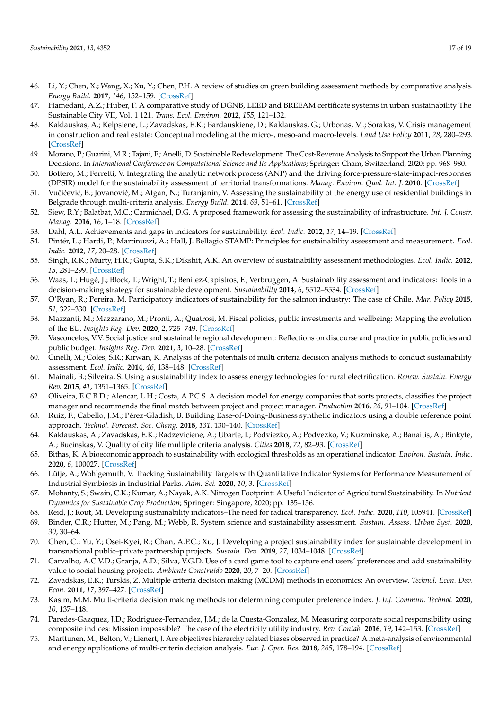- <span id="page-16-0"></span>46. Li, Y.; Chen, X.; Wang, X.; Xu, Y.; Chen, P.H. A review of studies on green building assessment methods by comparative analysis. *Energy Build.* **2017**, *146*, 152–159. [\[CrossRef\]](http://doi.org/10.1016/j.enbuild.2017.04.076)
- <span id="page-16-1"></span>47. Hamedani, A.Z.; Huber, F. A comparative study of DGNB, LEED and BREEAM certificate systems in urban sustainability The Sustainable City VII, Vol. 1 121. *Trans. Ecol. Environ.* **2012**, *155*, 121–132.
- <span id="page-16-2"></span>48. Kaklauskas, A.; Kelpsiene, L.; Zavadskas, E.K.; Bardauskiene, D.; Kaklauskas, G.; Urbonas, M.; Sorakas, V. Crisis management in construction and real estate: Conceptual modeling at the micro-, meso-and macro-levels. *Land Use Policy* **2011**, *28*, 280–293. [\[CrossRef\]](http://doi.org/10.1016/j.landusepol.2010.06.008)
- <span id="page-16-4"></span>49. Morano, P.; Guarini, M.R.; Tajani, F.; Anelli, D. Sustainable Redevelopment: The Cost-Revenue Analysis to Support the Urban Planning Decisions. In *International Conference on Computational Science and Its Applications*; Springer: Cham, Switzerland, 2020; pp. 968–980.
- <span id="page-16-3"></span>50. Bottero, M.; Ferretti, V. Integrating the analytic network process (ANP) and the driving force-pressure-state-impact-responses (DPSIR) model for the sustainability assessment of territorial transformations. *Manag. Environ. Qual. Int. J.* **2010**. [\[CrossRef\]](http://doi.org/10.1108/14777831011067926)
- <span id="page-16-5"></span>51. Vučićević, B.; Jovanović, M.; Afgan, N.; Turanjanin, V. Assessing the sustainability of the energy use of residential buildings in Belgrade through multi-criteria analysis. *Energy Build.* **2014**, *69*, 51–61. [\[CrossRef\]](http://doi.org/10.1016/j.enbuild.2013.10.022)
- <span id="page-16-6"></span>52. Siew, R.Y.; Balatbat, M.C.; Carmichael, D.G. A proposed framework for assessing the sustainability of infrastructure. *Int. J. Constr. Manag.* **2016**, *16*, 1–18. [\[CrossRef\]](http://doi.org/10.1080/15623599.2016.1146115)
- <span id="page-16-7"></span>53. Dahl, A.L. Achievements and gaps in indicators for sustainability. *Ecol. Indic.* **2012**, *17*, 14–19. [\[CrossRef\]](http://doi.org/10.1016/j.ecolind.2011.04.032)
- 54. Pintér, L.; Hardi, P.; Martinuzzi, A.; Hall, J. Bellagio STAMP: Principles for sustainability assessment and measurement. *Ecol. Indic.* **2012**, *17*, 20–28. [\[CrossRef\]](http://doi.org/10.1016/j.ecolind.2011.07.001)
- <span id="page-16-11"></span>55. Singh, R.K.; Murty, H.R.; Gupta, S.K.; Dikshit, A.K. An overview of sustainability assessment methodologies. *Ecol. Indic.* **2012**, *15*, 281–299. [\[CrossRef\]](http://doi.org/10.1016/j.ecolind.2011.01.007)
- 56. Waas, T.; Hugé, J.; Block, T.; Wright, T.; Benitez-Capistros, F.; Verbruggen, A. Sustainability assessment and indicators: Tools in a decision-making strategy for sustainable development. *Sustainability* **2014**, *6*, 5512–5534. [\[CrossRef\]](http://doi.org/10.3390/su6095512)
- <span id="page-16-9"></span>57. O'Ryan, R.; Pereira, M. Participatory indicators of sustainability for the salmon industry: The case of Chile. *Mar. Policy* **2015**, *51*, 322–330. [\[CrossRef\]](http://doi.org/10.1016/j.marpol.2014.09.010)
- 58. Mazzanti, M.; Mazzarano, M.; Pronti, A.; Quatrosi, M. Fiscal policies, public investments and wellbeing: Mapping the evolution of the EU. *Insights Reg. Dev.* **2020**, *2*, 725–749. [\[CrossRef\]](http://doi.org/10.9770/IRD.2020.2.4(1))
- 59. Vasconcelos, V.V. Social justice and sustainable regional development: Reflections on discourse and practice in public policies and public budget. *Insights Reg. Dev.* **2021**, *3*, 10–28. [\[CrossRef\]](http://doi.org/10.9770/IRD.2021.3.1(1))
- <span id="page-16-8"></span>60. Cinelli, M.; Coles, S.R.; Kirwan, K. Analysis of the potentials of multi criteria decision analysis methods to conduct sustainability assessment. *Ecol. Indic.* **2014**, *46*, 138–148. [\[CrossRef\]](http://doi.org/10.1016/j.ecolind.2014.06.011)
- 61. Mainali, B.; Silveira, S. Using a sustainability index to assess energy technologies for rural electrification. *Renew. Sustain. Energy Rev.* **2015**, *41*, 1351–1365. [\[CrossRef\]](http://doi.org/10.1016/j.rser.2014.09.018)
- <span id="page-16-12"></span>62. Oliveira, E.C.B.D.; Alencar, L.H.; Costa, A.P.C.S. A decision model for energy companies that sorts projects, classifies the project manager and recommends the final match between project and project manager. *Production* **2016**, *26*, 91–104. [\[CrossRef\]](http://doi.org/10.1590/0103-6513.172314)
- 63. Ruiz, F.; Cabello, J.M.; Pérez-Gladish, B. Building Ease-of-Doing-Business synthetic indicators using a double reference point approach. *Technol. Forecast. Soc. Chang.* **2018**, *131*, 130–140. [\[CrossRef\]](http://doi.org/10.1016/j.techfore.2017.06.005)
- 64. Kaklauskas, A.; Zavadskas, E.K.; Radzeviciene, A.; Ubarte, I.; Podviezko, A.; Podvezko, V.; Kuzminske, A.; Banaitis, A.; Binkyte, A.; Bucinskas, V. Quality of city life multiple criteria analysis. *Cities* **2018**, *72*, 82–93. [\[CrossRef\]](http://doi.org/10.1016/j.cities.2017.08.002)
- 65. Bithas, K. A bioeconomic approach to sustainability with ecological thresholds as an operational indicator. *Environ. Sustain. Indic.* **2020**, *6*, 100027. [\[CrossRef\]](http://doi.org/10.1016/j.indic.2020.100027)
- 66. Lütje, A.; Wohlgemuth, V. Tracking Sustainability Targets with Quantitative Indicator Systems for Performance Measurement of Industrial Symbiosis in Industrial Parks. *Adm. Sci.* **2020**, *10*, 3. [\[CrossRef\]](http://doi.org/10.3390/admsci10010003)
- 67. Mohanty, S.; Swain, C.K.; Kumar, A.; Nayak, A.K. Nitrogen Footprint: A Useful Indicator of Agricultural Sustainability. In *Nutrient Dynamics for Sustainable Crop Production*; Springer: Singapore, 2020; pp. 135–156.
- 68. Reid, J.; Rout, M. Developing sustainability indicators–The need for radical transparency. *Ecol. Indic.* **2020**, *110*, 105941. [\[CrossRef\]](http://doi.org/10.1016/j.ecolind.2019.105941)
- 69. Binder, C.R.; Hutter, M.; Pang, M.; Webb, R. System science and sustainability assessment. *Sustain. Assess. Urban Syst.* **2020**, *30*, 30–64.
- 70. Chen, C.; Yu, Y.; Osei-Kyei, R.; Chan, A.P.C.; Xu, J. Developing a project sustainability index for sustainable development in transnational public–private partnership projects. *Sustain. Dev.* **2019**, *27*, 1034–1048. [\[CrossRef\]](http://doi.org/10.1002/sd.1954)
- <span id="page-16-10"></span>71. Carvalho, A.C.V.D.; Granja, A.D.; Silva, V.G.D. Use of a card game tool to capture end users' preferences and add sustainability value to social housing projects. *Ambiente Construído* **2020**, *20*, 7–20. [\[CrossRef\]](http://doi.org/10.1590/s1678-86212020000100360)
- <span id="page-16-13"></span>72. Zavadskas, E.K.; Turskis, Z. Multiple criteria decision making (MCDM) methods in economics: An overview. *Technol. Econ. Dev. Econ.* **2011**, *17*, 397–427. [\[CrossRef\]](http://doi.org/10.3846/20294913.2011.593291)
- 73. Kasim, M.M. Multi-criteria decision making methods for determining computer preference index. *J. Inf. Commun. Technol.* **2020**, *10*, 137–148.
- 74. Paredes-Gazquez, J.D.; Rodriguez-Fernandez, J.M.; de la Cuesta-Gonzalez, M. Measuring corporate social responsibility using composite indices: Mission impossible? The case of the electricity utility industry. *Rev. Contab.* **2016**, *19*, 142–153. [\[CrossRef\]](http://doi.org/10.1016/j.rcsar.2015.10.001)
- <span id="page-16-14"></span>75. Marttunen, M.; Belton, V.; Lienert, J. Are objectives hierarchy related biases observed in practice? A meta-analysis of environmental and energy applications of multi-criteria decision analysis. *Eur. J. Oper. Res.* **2018**, *265*, 178–194. [\[CrossRef\]](http://doi.org/10.1016/j.ejor.2017.02.038)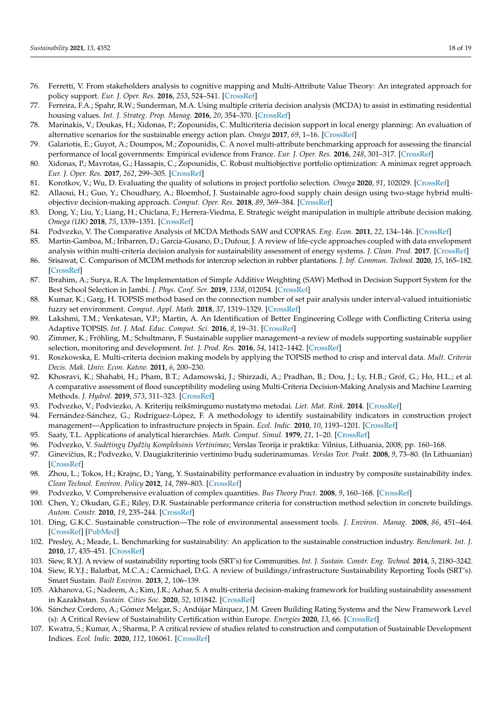- 76. Ferretti, V. From stakeholders analysis to cognitive mapping and Multi-Attribute Value Theory: An integrated approach for policy support. *Eur. J. Oper. Res.* **2016**, *253*, 524–541. [\[CrossRef\]](http://doi.org/10.1016/j.ejor.2016.02.054)
- 77. Ferreira, F.A.; Spahr, R.W.; Sunderman, M.A. Using multiple criteria decision analysis (MCDA) to assist in estimating residential housing values. *Int. J. Strateg. Prop. Manag.* **2016**, *20*, 354–370. [\[CrossRef\]](http://doi.org/10.3846/1648715X.2015.1122668)
- <span id="page-17-14"></span>78. Marinakis, V.; Doukas, H.; Xidonas, P.; Zopounidis, C. Multicriteria decision support in local energy planning: An evaluation of alternative scenarios for the sustainable energy action plan. *Omega* **2017**, *69*, 1–16. [\[CrossRef\]](http://doi.org/10.1016/j.omega.2016.07.005)
- 79. Galariotis, E.; Guyot, A.; Doumpos, M.; Zopounidis, C. A novel multi-attribute benchmarking approach for assessing the financial performance of local governments: Empirical evidence from France. *Eur. J. Oper. Res.* **2016**, *248*, 301–317. [\[CrossRef\]](http://doi.org/10.1016/j.ejor.2015.06.042)
- <span id="page-17-0"></span>80. Xidonas, P.; Mavrotas, G.; Hassapis, C.; Zopounidis, C. Robust multiobjective portfolio optimization: A minimax regret approach. *Eur. J. Oper. Res.* **2017**, *262*, 299–305. [\[CrossRef\]](http://doi.org/10.1016/j.ejor.2017.03.041)
- <span id="page-17-1"></span>81. Korotkov, V.; Wu, D. Evaluating the quality of solutions in project portfolio selection. *Omega* **2020**, *91*, 102029. [\[CrossRef\]](http://doi.org/10.1016/j.omega.2019.01.007)
- <span id="page-17-2"></span>82. Allaoui, H.; Guo, Y.; Choudhary, A.; Bloemhof, J. Sustainable agro-food supply chain design using two-stage hybrid multiobjective decision-making approach. *Comput. Oper. Res.* **2018**, *89*, 369–384. [\[CrossRef\]](http://doi.org/10.1016/j.cor.2016.10.012)
- <span id="page-17-3"></span>83. Dong, Y.; Liu, Y.; Liang, H.; Chiclana, F.; Herrera-Viedma, E. Strategic weight manipulation in multiple attribute decision making. *Omega (UK)* **2018**, *75*, 1339–1351. [\[CrossRef\]](http://doi.org/10.1016/j.omega.2017.02.008)
- <span id="page-17-4"></span>84. Podvezko, V. The Comparative Analysis of MCDA Methods SAW and COPRAS. *Eng. Econ.* **2011**, *22*, 134–146. [\[CrossRef\]](http://doi.org/10.5755/j01.ee.22.2.310)
- <span id="page-17-5"></span>85. Martín-Gamboa, M.; Iribarren, D.; García-Gusano, D.; Dufour, J. A review of life-cycle approaches coupled with data envelopment analysis within multi-criteria decision analysis for sustainability assessment of energy systems. *J. Clean. Prod.* **2017**. [\[CrossRef\]](http://doi.org/10.1016/j.jclepro.2017.03.017)
- <span id="page-17-6"></span>86. Srisawat, C. Comparison of MCDM methods for intercrop selection in rubber plantations. *J. Inf. Commun. Technol.* **2020**, *15*, 165–182. [\[CrossRef\]](http://doi.org/10.32890/jict2016.15.1.8)
- <span id="page-17-7"></span>87. Ibrahim, A.; Surya, R.A. The Implementation of Simple Additive Weighting (SAW) Method in Decision Support System for the Best School Selection in Jambi. *J. Phys. Conf. Ser.* **2019**, *1338*, 012054. [\[CrossRef\]](http://doi.org/10.1088/1742-6596/1338/1/012054)
- <span id="page-17-8"></span>88. Kumar, K.; Garg, H. TOPSIS method based on the connection number of set pair analysis under interval-valued intuitionistic fuzzy set environment. *Comput. Appl. Math.* **2018**, *37*, 1319–1329. [\[CrossRef\]](http://doi.org/10.1007/s40314-016-0402-0)
- <span id="page-17-9"></span>89. Lakshmi, T.M.; Venkatesan, V.P.; Martin, A. An Identification of Better Engineering College with Conflicting Criteria using Adaptive TOPSIS. *Int. J. Mod. Educ. Comput. Sci.* **2016**, *8*, 19–31. [\[CrossRef\]](http://doi.org/10.5815/ijmecs.2016.05.03)
- <span id="page-17-10"></span>90. Zimmer, K.; Fröhling, M.; Schultmann, F. Sustainable supplier management–a review of models supporting sustainable supplier selection, monitoring and development. *Int. J. Prod. Res.* **2016**, *54*, 1412–1442. [\[CrossRef\]](http://doi.org/10.1080/00207543.2015.1079340)
- <span id="page-17-11"></span>91. Roszkowska, E. Multi-criteria decision making models by applying the TOPSIS method to crisp and interval data. *Mult. Criteria Decis. Mak. Univ. Econ. Katow.* **2011**, *6*, 200–230.
- <span id="page-17-12"></span>92. Khosravi, K.; Shahabi, H.; Pham, B.T.; Adamowski, J.; Shirzadi, A.; Pradhan, B.; Dou, J.; Ly, H.B.; Gróf, G.; Ho, H.L.; et al. A comparative assessment of flood susceptibility modeling using Multi-Criteria Decision-Making Analysis and Machine Learning Methods. *J. Hydrol.* **2019**, *573*, 311–323. [\[CrossRef\]](http://doi.org/10.1016/j.jhydrol.2019.03.073)
- <span id="page-17-13"></span>93. Podvezko, V.; Podviezko, A. Kriteriju˛ reikšmingumo nustatymo metodai. *Liet. Mat. Rink.* **2014**. [\[CrossRef\]](http://doi.org/10.15388/LMR.B.2014.21)
- <span id="page-17-15"></span>94. Fernández-Sánchez, G.; Rodríguez-López, F. A methodology to identify sustainability indicators in construction project management—Application to infrastructure projects in Spain. *Ecol. Indic.* **2010**, *10*, 1193–1201. [\[CrossRef\]](http://doi.org/10.1016/j.ecolind.2010.04.009)
- <span id="page-17-16"></span>95. Saaty, T.L. Applications of analytical hierarchies. *Math. Comput. Simul.* **1979**, *21*, 1–20. [\[CrossRef\]](http://doi.org/10.1016/0378-4754(79)90101-0)
- <span id="page-17-17"></span>96. Podvezko, V. Sudėtingų Dydžių Kompleksinis Vertinimas; Verslas Teorija ir praktika: Vilnius, Lithuania, 2008; pp. 160-168.
- <span id="page-17-18"></span>97. Ginevičius, R.; Podvezko, V. Daugiakriterinio vertinimo bųdų suderinamumas. *Verslas Teor. Prakt.* 2008, 9, 73–80. (In Lithuanian) [\[CrossRef\]](http://doi.org/10.3846/1648-0627.2008.9.73-80)
- <span id="page-17-19"></span>98. Zhou, L.; Tokos, H.; Krajnc, D.; Yang, Y. Sustainability performance evaluation in industry by composite sustainability index. *Clean Technol. Environ. Policy* **2012**, *14*, 789–803. [\[CrossRef\]](http://doi.org/10.1007/s10098-012-0454-9)
- <span id="page-17-20"></span>99. Podvezko, V. Comprehensive evaluation of complex quantities. *Bus Theory Pract.* **2008**, *9*, 160–168. [\[CrossRef\]](http://doi.org/10.3846/1648-0627.2008.9.160-168)
- 100. Chen, Y.; Okudan, G.E.; Riley, D.R. Sustainable performance criteria for construction method selection in concrete buildings. *Autom. Constr.* **2010**, *19*, 235–244. [\[CrossRef\]](http://doi.org/10.1016/j.autcon.2009.10.004)
- 101. Ding, G.K.C. Sustainable construction—The role of environmental assessment tools. *J. Environ. Manag.* **2008**, *86*, 451–464. [\[CrossRef\]](http://doi.org/10.1016/j.jenvman.2006.12.025) [\[PubMed\]](http://www.ncbi.nlm.nih.gov/pubmed/17289255)
- 102. Presley, A.; Meade, L. Benchmarking for sustainability: An application to the sustainable construction industry. *Benchmark. Int. J.* **2010**, *17*, 435–451. [\[CrossRef\]](http://doi.org/10.1108/14635771011049380)
- 103. Siew, R.Y.J. A review of sustainability reporting tools (SRT's) for Communities. *Int. J. Sustain. Constr. Eng. Technol.* **2014**, *5*, 2180–3242.
- 104. Siew, R.Y.J.; Balatbat, M.C.A.; Carmichael, D.G. A review of buildings/infrastructure Sustainability Reporting Tools (SRT's). Smart Sustain. *Built Environ.* **2013**, *2*, 106–139.
- 105. Akhanova, G.; Nadeem, A.; Kim, J.R.; Azhar, S. A multi-criteria decision-making framework for building sustainability assessment in Kazakhstan. *Sustain. Cities Soc.* **2020**, *52*, 101842. [\[CrossRef\]](http://doi.org/10.1016/j.scs.2019.101842)
- 106. Sánchez Cordero, A.; Gómez Melgar, S.; Andújar Márquez, J.M. Green Building Rating Systems and the New Framework Level (s): A Critical Review of Sustainability Certification within Europe. *Energies* **2020**, *13*, 66. [\[CrossRef\]](http://doi.org/10.3390/en13010066)
- 107. Kwatra, S.; Kumar, A.; Sharma, P. A critical review of studies related to construction and computation of Sustainable Development Indices. *Ecol. Indic.* **2020**, *112*, 106061. [\[CrossRef\]](http://doi.org/10.1016/j.ecolind.2019.106061)